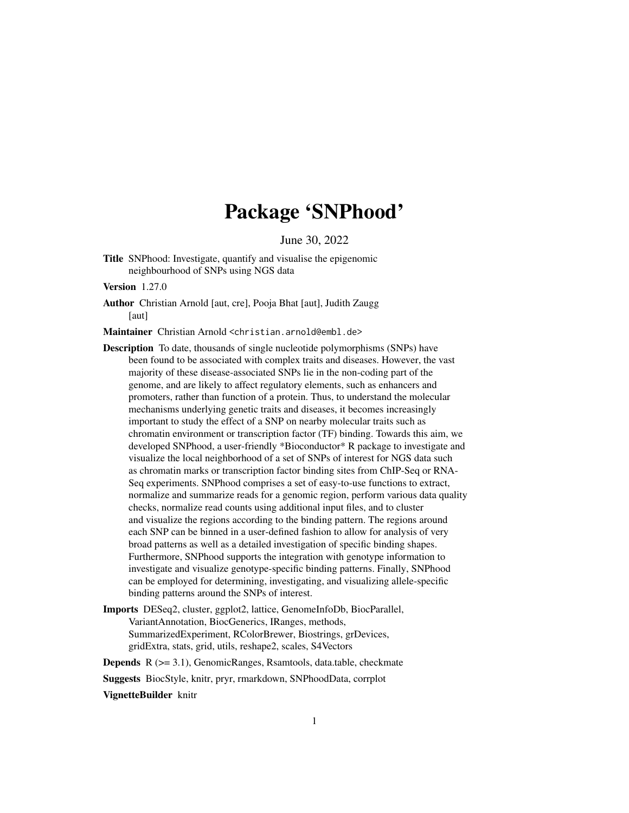# Package 'SNPhood'

June 30, 2022

<span id="page-0-0"></span>Title SNPhood: Investigate, quantify and visualise the epigenomic neighbourhood of SNPs using NGS data

Version 1.27.0

Author Christian Arnold [aut, cre], Pooja Bhat [aut], Judith Zaugg [aut]

Maintainer Christian Arnold <christian.arnold@embl.de>

- Description To date, thousands of single nucleotide polymorphisms (SNPs) have been found to be associated with complex traits and diseases. However, the vast majority of these disease-associated SNPs lie in the non-coding part of the genome, and are likely to affect regulatory elements, such as enhancers and promoters, rather than function of a protein. Thus, to understand the molecular mechanisms underlying genetic traits and diseases, it becomes increasingly important to study the effect of a SNP on nearby molecular traits such as chromatin environment or transcription factor (TF) binding. Towards this aim, we developed SNPhood, a user-friendly \*Bioconductor\* R package to investigate and visualize the local neighborhood of a set of SNPs of interest for NGS data such as chromatin marks or transcription factor binding sites from ChIP-Seq or RNA-Seq experiments. SNPhood comprises a set of easy-to-use functions to extract, normalize and summarize reads for a genomic region, perform various data quality checks, normalize read counts using additional input files, and to cluster and visualize the regions according to the binding pattern. The regions around each SNP can be binned in a user-defined fashion to allow for analysis of very broad patterns as well as a detailed investigation of specific binding shapes. Furthermore, SNPhood supports the integration with genotype information to investigate and visualize genotype-specific binding patterns. Finally, SNPhood can be employed for determining, investigating, and visualizing allele-specific binding patterns around the SNPs of interest.
- Imports DESeq2, cluster, ggplot2, lattice, GenomeInfoDb, BiocParallel, VariantAnnotation, BiocGenerics, IRanges, methods, SummarizedExperiment, RColorBrewer, Biostrings, grDevices, gridExtra, stats, grid, utils, reshape2, scales, S4Vectors

Depends R (>= 3.1), GenomicRanges, Rsamtools, data.table, checkmate

Suggests BiocStyle, knitr, pryr, rmarkdown, SNPhoodData, corrplot

VignetteBuilder knitr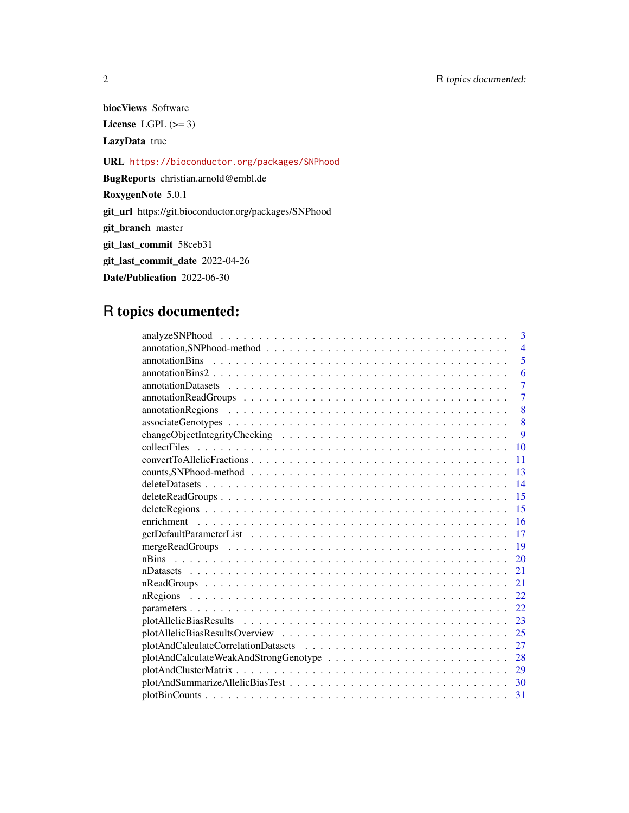2 R topics documented:

biocViews Software

License LGPL  $(>= 3)$ 

LazyData true

URL <https://bioconductor.org/packages/SNPhood>

BugReports christian.arnold@embl.de

RoxygenNote 5.0.1

git\_url https://git.bioconductor.org/packages/SNPhood

git\_branch master

git\_last\_commit 58ceb31

git\_last\_commit\_date 2022-04-26

Date/Publication 2022-06-30

# R topics documented:

| 3              |
|----------------|
| $\overline{4}$ |
| 5              |
| 6              |
| $\overline{7}$ |
| $\overline{7}$ |
| 8              |
| 8              |
| 9              |
| 10             |
| 11             |
| 13             |
| 14             |
| 15             |
| 15             |
| 16             |
| 17             |
| 19             |
| 20             |
| 21             |
| 21             |
| 22             |
| 22             |
| 23             |
| 25             |
| 27             |
| 28             |
| 29             |
| 30             |
| 31             |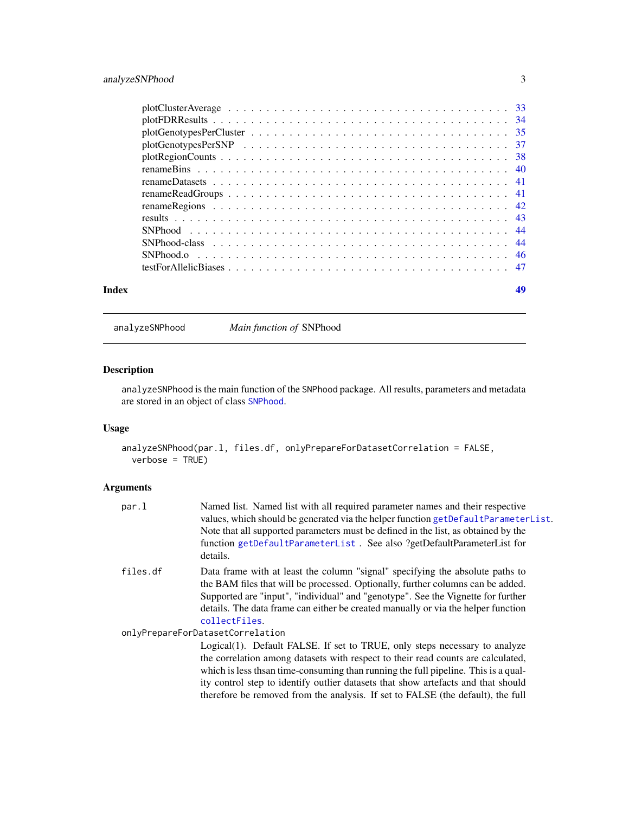<span id="page-2-0"></span>

| Index |  |  |  |  |  |  |  |  |  |  |  |  |  |  |  |
|-------|--|--|--|--|--|--|--|--|--|--|--|--|--|--|--|

<span id="page-2-1"></span>analyzeSNPhood *Main function of* SNPhood

# Description

analyzeSNPhood is the main function of the SNPhood package. All results, parameters and metadata are stored in an object of class [SNPhood](#page-43-1).

# Usage

```
analyzeSNPhood(par.l, files.df, onlyPrepareForDatasetCorrelation = FALSE,
 verbose = TRUE)
```
# Arguments

| par.l    | Named list. Named list with all required parameter names and their respective<br>values, which should be generated via the helper function getDefaultParameterList.<br>Note that all supported parameters must be defined in the list, as obtained by the<br>function getDefaultParameterList. See also ?getDefaultParameterList for<br>details.           |
|----------|------------------------------------------------------------------------------------------------------------------------------------------------------------------------------------------------------------------------------------------------------------------------------------------------------------------------------------------------------------|
| files.df | Data frame with at least the column "signal" specifying the absolute paths to<br>the BAM files that will be processed. Optionally, further columns can be added.<br>Supported are "input", "individual" and "genotype". See the Vignette for further<br>details. The data frame can either be created manually or via the helper function<br>collectFiles. |
|          | onlyPrepareForDatasetCorrelation                                                                                                                                                                                                                                                                                                                           |
|          | Logical(1). Default FALSE. If set to TRUE, only steps necessary to analyze<br>the correlation among datasets with respect to their read counts are calculated,<br>which is less the same time-consuming than running the full pipeline. This is a qual-<br>ity control step to identify outlier datasets that show artefacts and that should               |

ity control step to identify outlier datasets that show artefacts and that should therefore be removed from the analysis. If set to FALSE (the default), the full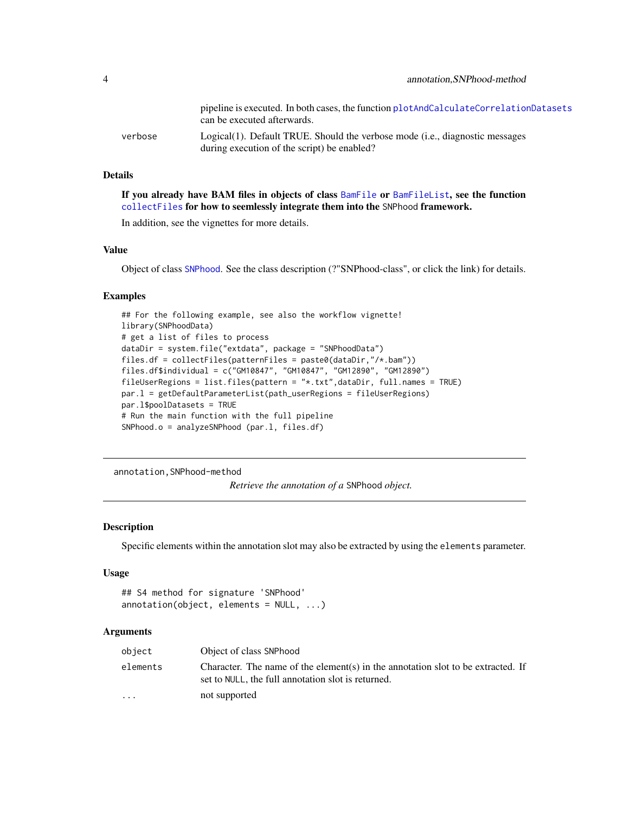<span id="page-3-0"></span>

|         | pipeline is executed. In both cases, the function plot And Calculate Correlation Datasets<br>can be executed afterwards.    |
|---------|-----------------------------------------------------------------------------------------------------------------------------|
| verbose | Logical(1). Default TRUE. Should the verbose mode (i.e., diagnostic messages<br>during execution of the script) be enabled? |

# Details

If you already have BAM files in objects of class [BamFile](#page-0-0) or [BamFileList](#page-0-0), see the function [collectFiles](#page-9-1) for how to seemlessly integrate them into the SNPhood framework.

In addition, see the vignettes for more details.

# Value

Object of class [SNPhood](#page-43-1). See the class description (?"SNPhood-class", or click the link) for details.

#### Examples

```
## For the following example, see also the workflow vignette!
library(SNPhoodData)
# get a list of files to process
dataDir = system.file("extdata", package = "SNPhoodData")
files.df = collectFiles(patternFiles = paste0(dataDir,"/*.bam"))
files.df$individual = c("GM10847", "GM10847", "GM12890", "GM12890")
fileUserRegions = list.files(pattern = "*.txt",dataDir, full.names = TRUE)
par.l = getDefaultParameterList(path_userRegions = fileUserRegions)
par.l$poolDatasets = TRUE
# Run the main function with the full pipeline
SNPhood.o = analyzeSNPhood (par.l, files.df)
```
annotation,SNPhood-method

*Retrieve the annotation of a* SNPhood *object.*

# <span id="page-3-1"></span>Description

Specific elements within the annotation slot may also be extracted by using the elements parameter.

#### Usage

```
## S4 method for signature 'SNPhood'
annotation(object, elements = NULL, ...)
```

| object    | Object of class SNPhood                                                                                                                |
|-----------|----------------------------------------------------------------------------------------------------------------------------------------|
| elements  | Character. The name of the element(s) in the annotation slot to be extracted. If<br>set to NULL, the full annotation slot is returned. |
| $\ddotsc$ | not supported                                                                                                                          |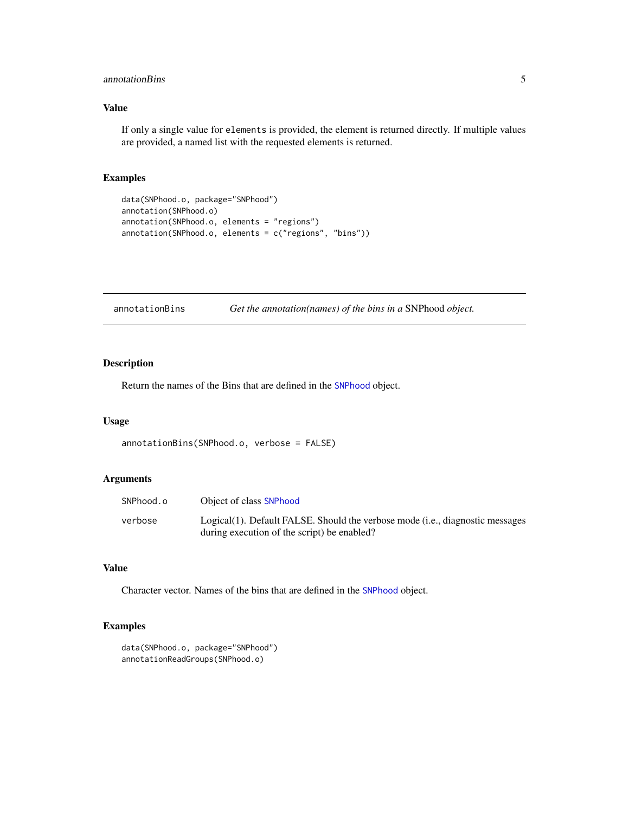# <span id="page-4-0"></span>annotationBins 5

# Value

If only a single value for elements is provided, the element is returned directly. If multiple values are provided, a named list with the requested elements is returned.

# Examples

```
data(SNPhood.o, package="SNPhood")
annotation(SNPhood.o)
annotation(SNPhood.o, elements = "regions")
annotation(SNPhood.o, elements = c("regions", "bins"))
```
<span id="page-4-1"></span>

| annotationBins | Get the annotation(names) of the bins in a SNPhood object. |  |
|----------------|------------------------------------------------------------|--|
|                |                                                            |  |

# Description

Return the names of the Bins that are defined in the [SNPhood](#page-43-1) object.

### Usage

```
annotationBins(SNPhood.o, verbose = FALSE)
```
#### Arguments

| SNPhood.o | Object of class SNPhood                                                       |
|-----------|-------------------------------------------------------------------------------|
| verbose   | Logical(1). Default FALSE. Should the verbose mode (i.e., diagnostic messages |
|           | during execution of the script) be enabled?                                   |

# Value

Character vector. Names of the bins that are defined in the [SNPhood](#page-43-1) object.

```
data(SNPhood.o, package="SNPhood")
annotationReadGroups(SNPhood.o)
```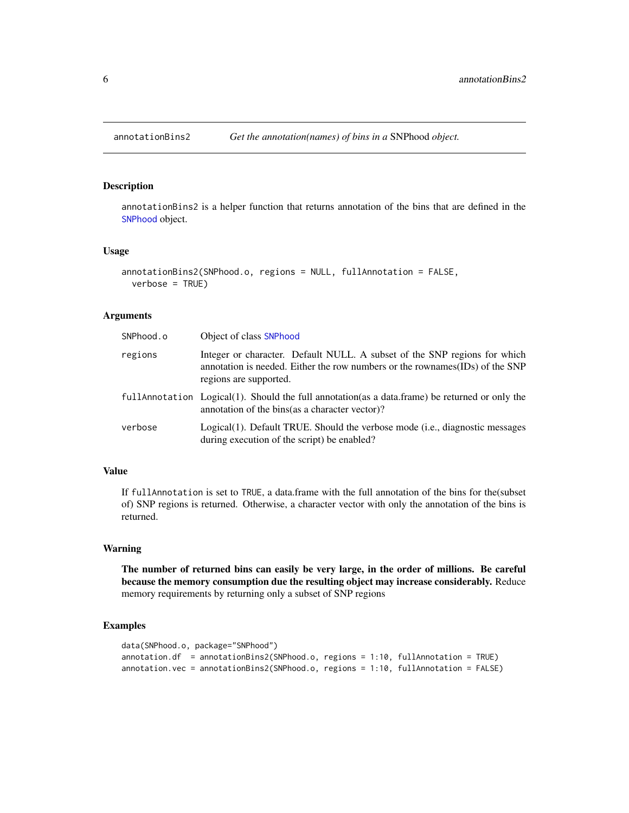# <span id="page-5-1"></span><span id="page-5-0"></span>Description

annotationBins2 is a helper function that returns annotation of the bins that are defined in the [SNPhood](#page-43-1) object.

#### Usage

```
annotationBins2(SNPhood.o, regions = NULL, fullAnnotation = FALSE,
 verbose = TRUE)
```
# Arguments

| SNPhood.o | Object of class SNPhood                                                                                                                                                              |
|-----------|--------------------------------------------------------------------------------------------------------------------------------------------------------------------------------------|
| regions   | Integer or character. Default NULL. A subset of the SNP regions for which<br>annotation is needed. Either the row numbers or the rownames (IDs) of the SNP<br>regions are supported. |
|           | fullannotation Logical(1). Should the full annotation (as a data.frame) be returned or only the<br>annotation of the bins (as a character vector)?                                   |
| verbose   | Logical(1). Default TRUE. Should the verbose mode (i.e., diagnostic messages<br>during execution of the script) be enabled?                                                          |

## Value

If fullAnnotation is set to TRUE, a data.frame with the full annotation of the bins for the(subset of) SNP regions is returned. Otherwise, a character vector with only the annotation of the bins is returned.

## Warning

The number of returned bins can easily be very large, in the order of millions. Be careful because the memory consumption due the resulting object may increase considerably. Reduce memory requirements by returning only a subset of SNP regions

```
data(SNPhood.o, package="SNPhood")
annotation.df = annotationBins2(SNPhood.o, regions = 1:10, fullAnnotation = TRUE)
annotation.vec = annotationBins2(SNPhood.o, regions = 1:10, fullAnnotation = FALSE)
```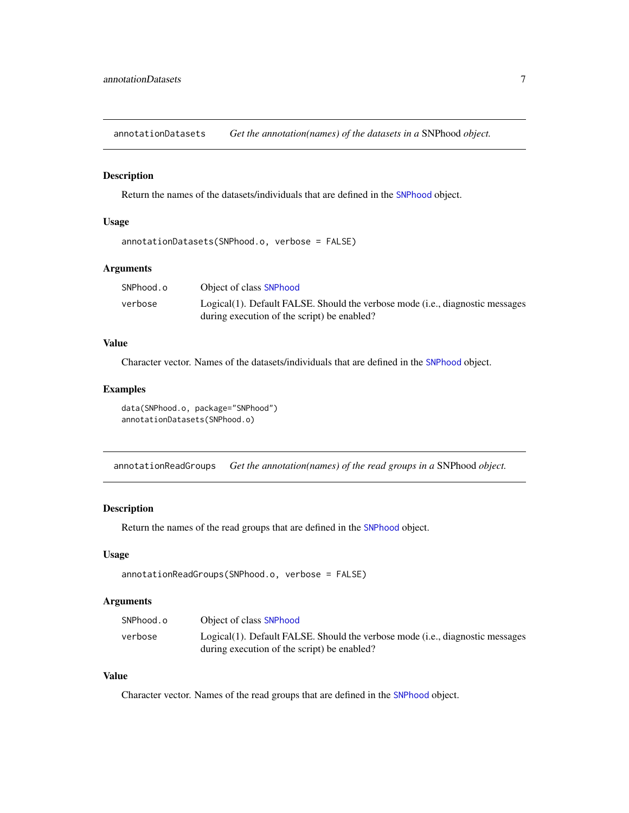<span id="page-6-1"></span><span id="page-6-0"></span>annotationDatasets *Get the annotation(names) of the datasets in a* SNPhood *object.*

# Description

Return the names of the datasets/individuals that are defined in the [SNPhood](#page-43-1) object.

#### Usage

```
annotationDatasets(SNPhood.o, verbose = FALSE)
```
## Arguments

| SNPhood.o | Object of class SNPhood                                                       |
|-----------|-------------------------------------------------------------------------------|
| verbose   | Logical(1). Default FALSE. Should the verbose mode (i.e., diagnostic messages |
|           | during execution of the script) be enabled?                                   |

# Value

Character vector. Names of the datasets/individuals that are defined in the [SNPhood](#page-43-1) object.

# Examples

```
data(SNPhood.o, package="SNPhood")
annotationDatasets(SNPhood.o)
```
<span id="page-6-2"></span>annotationReadGroups *Get the annotation(names) of the read groups in a* SNPhood *object.*

#### Description

Return the names of the read groups that are defined in the [SNPhood](#page-43-1) object.

#### Usage

```
annotationReadGroups(SNPhood.o, verbose = FALSE)
```
# Arguments

| SNPhood.o | Object of class SNPhood                                                       |
|-----------|-------------------------------------------------------------------------------|
| verbose   | Logical(1). Default FALSE. Should the verbose mode (i.e., diagnostic messages |
|           | during execution of the script) be enabled?                                   |

# Value

Character vector. Names of the read groups that are defined in the [SNPhood](#page-43-1) object.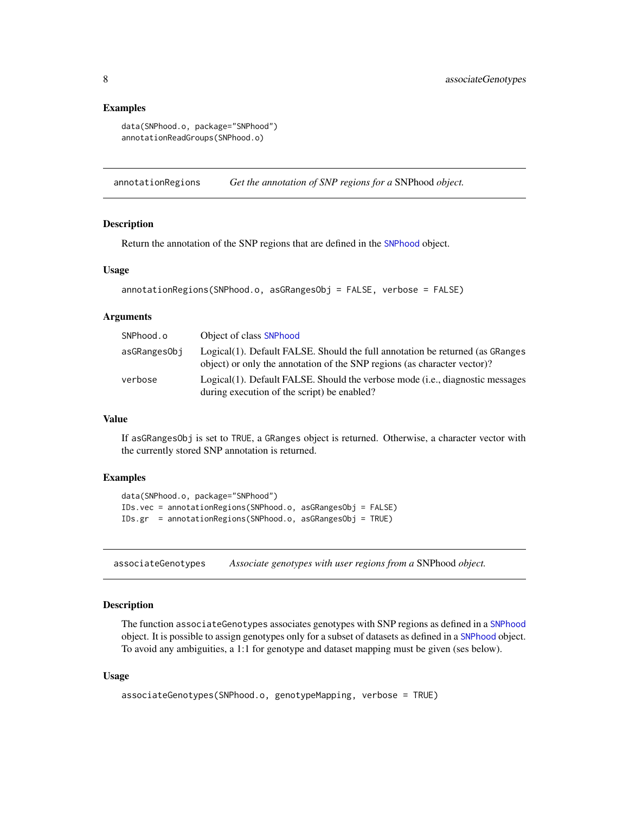#### <span id="page-7-0"></span>Examples

```
data(SNPhood.o, package="SNPhood")
annotationReadGroups(SNPhood.o)
```
<span id="page-7-2"></span>annotationRegions *Get the annotation of SNP regions for a* SNPhood *object.*

#### Description

Return the annotation of the SNP regions that are defined in the [SNPhood](#page-43-1) object.

# Usage

```
annotationRegions(SNPhood.o, asGRangesObj = FALSE, verbose = FALSE)
```
#### Arguments

| SNPhood.o    | Object of class SNPhood                                                                                                                                   |
|--------------|-----------------------------------------------------------------------------------------------------------------------------------------------------------|
| asGRangesObi | Logical(1). Default FALSE. Should the full annotation be returned (as GRanges<br>object) or only the annotation of the SNP regions (as character vector)? |
| verbose      | Logical(1). Default FALSE. Should the verbose mode (i.e., diagnostic messages<br>during execution of the script) be enabled?                              |

# Value

If asGRangesObj is set to TRUE, a GRanges object is returned. Otherwise, a character vector with the currently stored SNP annotation is returned.

#### Examples

```
data(SNPhood.o, package="SNPhood")
IDs.vec = annotationRegions(SNPhood.o, asGRangesObj = FALSE)
IDs.gr = annotationRegions(SNPhood.o, asGRangesObj = TRUE)
```
<span id="page-7-1"></span>associateGenotypes *Associate genotypes with user regions from a* SNPhood *object.*

# Description

The function associateGenotypes associates genotypes with SNP regions as defined in a [SNPhood](#page-43-1) object. It is possible to assign genotypes only for a subset of datasets as defined in a [SNPhood](#page-43-1) object. To avoid any ambiguities, a 1:1 for genotype and dataset mapping must be given (ses below).

#### Usage

```
associateGenotypes(SNPhood.o, genotypeMapping, verbose = TRUE)
```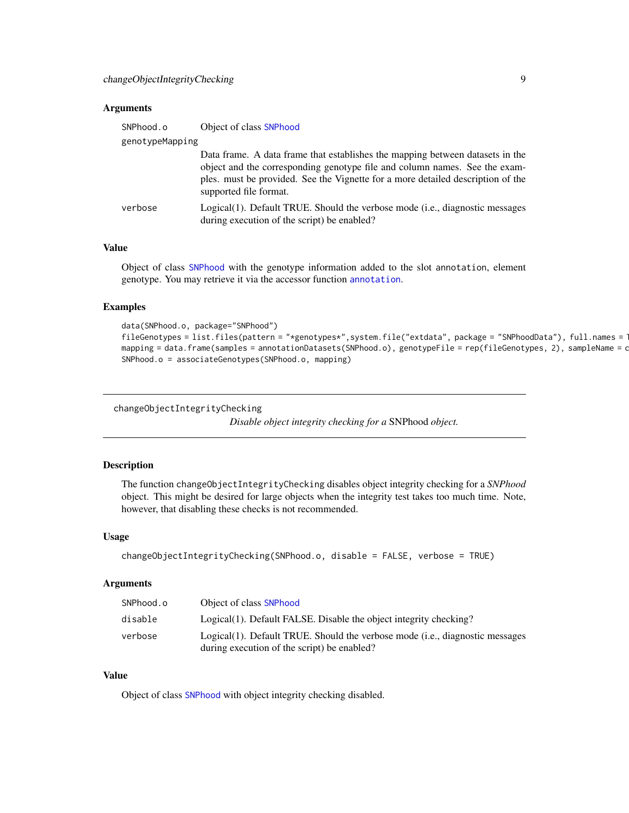#### <span id="page-8-0"></span>Arguments

| SNPhood.o       | Object of class SNPhood                                                                                                                                                                                                                                                  |  |  |  |  |  |  |
|-----------------|--------------------------------------------------------------------------------------------------------------------------------------------------------------------------------------------------------------------------------------------------------------------------|--|--|--|--|--|--|
| genotypeMapping |                                                                                                                                                                                                                                                                          |  |  |  |  |  |  |
|                 | Data frame. A data frame that establishes the mapping between datasets in the<br>object and the corresponding genotype file and column names. See the exam-<br>ples. must be provided. See the Vignette for a more detailed description of the<br>supported file format. |  |  |  |  |  |  |
| verbose         | Logical(1). Default TRUE. Should the verbose mode (i.e., diagnostic messages<br>during execution of the script) be enabled?                                                                                                                                              |  |  |  |  |  |  |

# Value

Object of class [SNPhood](#page-43-1) with the genotype information added to the slot annotation, element genotype. You may retrieve it via the accessor function [annotation](#page-3-1).

#### Examples

```
data(SNPhood.o, package="SNPhood")
fileGenotypes = list.files(pattern = "*genotypes*", system.file("extdata", package = "SNPhoodData"), full.names = T
mapping = data.frame(samples = annotationDatasets(SNPhood.o), genotypeFile = rep(fileGenotypes, 2), sampleName = c
SNPhood.o = associateGenotypes(SNPhood.o, mapping)
```

```
changeObjectIntegrityChecking
```
*Disable object integrity checking for a* SNPhood *object.*

# Description

The function changeObjectIntegrityChecking disables object integrity checking for a *SNPhood* object. This might be desired for large objects when the integrity test takes too much time. Note, however, that disabling these checks is not recommended.

#### Usage

```
changeObjectIntegrityChecking(SNPhood.o, disable = FALSE, verbose = TRUE)
```
#### **Arguments**

| SNPhood.o | Object of class SNPhood                                                      |
|-----------|------------------------------------------------------------------------------|
| disable   | Logical(1). Default FALSE. Disable the object integrity checking?            |
| verbose   | Logical(1). Default TRUE. Should the verbose mode (i.e., diagnostic messages |
|           | during execution of the script) be enabled?                                  |

# Value

Object of class [SNPhood](#page-43-1) with object integrity checking disabled.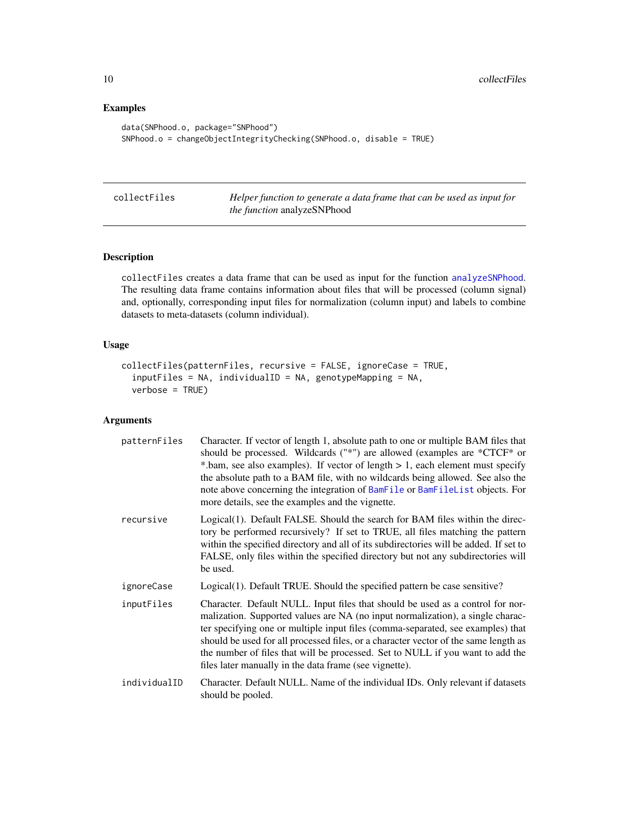# Examples

```
data(SNPhood.o, package="SNPhood")
SNPhood.o = changeObjectIntegrityChecking(SNPhood.o, disable = TRUE)
```
<span id="page-9-1"></span>

|  | collectFiles |
|--|--------------|
|  |              |

Helper function to generate a data frame that can be used as input for *the function* analyzeSNPhood

# Description

collectFiles creates a data frame that can be used as input for the function [analyzeSNPhood](#page-2-1). The resulting data frame contains information about files that will be processed (column signal) and, optionally, corresponding input files for normalization (column input) and labels to combine datasets to meta-datasets (column individual).

# Usage

```
collectFiles(patternFiles, recursive = FALSE, ignoreCase = TRUE,
  inputFiles = NA, individualID = NA, genotypeMapping = NA,
  verbose = TRUE)
```

| patternFiles | Character. If vector of length 1, absolute path to one or multiple BAM files that<br>should be processed. Wildcards $("*)$ are allowed (examples are $*CTCF*$ or<br>*.bam, see also examples). If vector of length $> 1$ , each element must specify<br>the absolute path to a BAM file, with no wildcards being allowed. See also the<br>note above concerning the integration of BamFile or BamFileList objects. For<br>more details, see the examples and the vignette.             |
|--------------|----------------------------------------------------------------------------------------------------------------------------------------------------------------------------------------------------------------------------------------------------------------------------------------------------------------------------------------------------------------------------------------------------------------------------------------------------------------------------------------|
| recursive    | Logical(1). Default FALSE. Should the search for BAM files within the direc-<br>tory be performed recursively? If set to TRUE, all files matching the pattern<br>within the specified directory and all of its subdirectories will be added. If set to<br>FALSE, only files within the specified directory but not any subdirectories will<br>be used.                                                                                                                                 |
| ignoreCase   | Logical(1). Default TRUE. Should the specified pattern be case sensitive?                                                                                                                                                                                                                                                                                                                                                                                                              |
| inputFiles   | Character. Default NULL. Input files that should be used as a control for nor-<br>malization. Supported values are NA (no input normalization), a single charac-<br>ter specifying one or multiple input files (comma-separated, see examples) that<br>should be used for all processed files, or a character vector of the same length as<br>the number of files that will be processed. Set to NULL if you want to add the<br>files later manually in the data frame (see vignette). |
| individualID | Character. Default NULL. Name of the individual IDs. Only relevant if datasets<br>should be pooled.                                                                                                                                                                                                                                                                                                                                                                                    |

<span id="page-9-0"></span>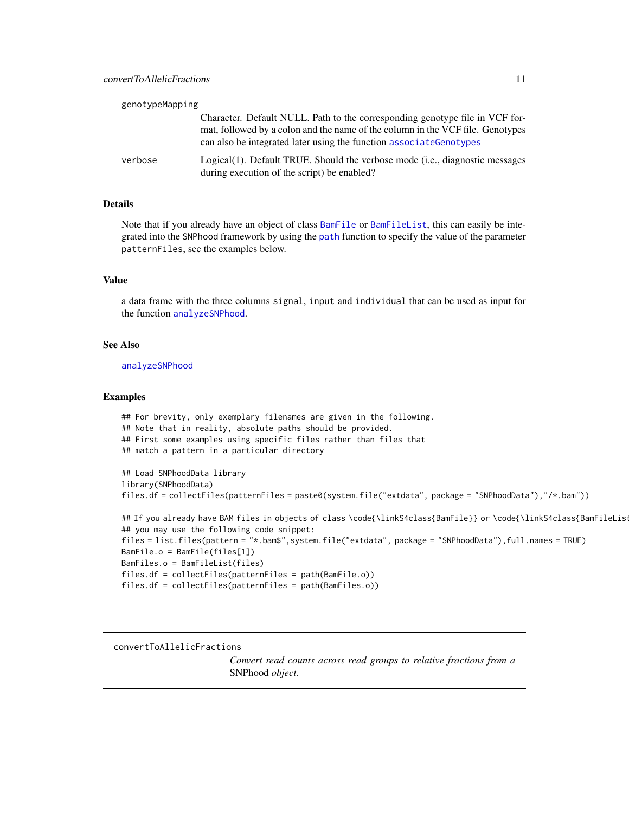<span id="page-10-0"></span>

| genotypeMapping |                                                                                                                                                                                                                                       |
|-----------------|---------------------------------------------------------------------------------------------------------------------------------------------------------------------------------------------------------------------------------------|
|                 | Character. Default NULL. Path to the corresponding genotype file in VCF for-<br>mat, followed by a colon and the name of the column in the VCF file. Genotypes<br>can also be integrated later using the function associate Genotypes |
| verbose         | Logical(1). Default TRUE. Should the verbose mode (i.e., diagnostic messages<br>during execution of the script) be enabled?                                                                                                           |

# Details

Note that if you already have an object of class [BamFile](#page-0-0) or [BamFileList](#page-0-0), this can easily be integrated into the SNPhood framework by using the [path](#page-0-0) function to specify the value of the parameter patternFiles, see the examples below.

#### Value

a data frame with the three columns signal, input and individual that can be used as input for the function [analyzeSNPhood](#page-2-1).

### See Also

[analyzeSNPhood](#page-2-1)

#### Examples

```
## For brevity, only exemplary filenames are given in the following.
## Note that in reality, absolute paths should be provided.
## First some examples using specific files rather than files that
## match a pattern in a particular directory
## Load SNPhoodData library
library(SNPhoodData)
files.df = collectFiles(patternFiles = paste0(system.file("extdata", package = "SNPhoodData"),"/*.bam"))
## If you already have BAM files in objects of class \code{\linkS4class{BamFile}} or \code{\linkS4class{BamFileList}
## you may use the following code snippet:
files = list.files(pattern = "*.bam$",system.file("extdata", package = "SNPhoodData"),full.names = TRUE)
BamFile.o = BamFile(files[1])
BamFiles.o = BamFileList(files)
files.df = collectFiles(patternFiles = path(BamFile.o))
files.df = collectFiles(patternFiles = path(BamFiles.o))
```
#### <span id="page-10-1"></span>convertToAllelicFractions

*Convert read counts across read groups to relative fractions from a* SNPhood *object.*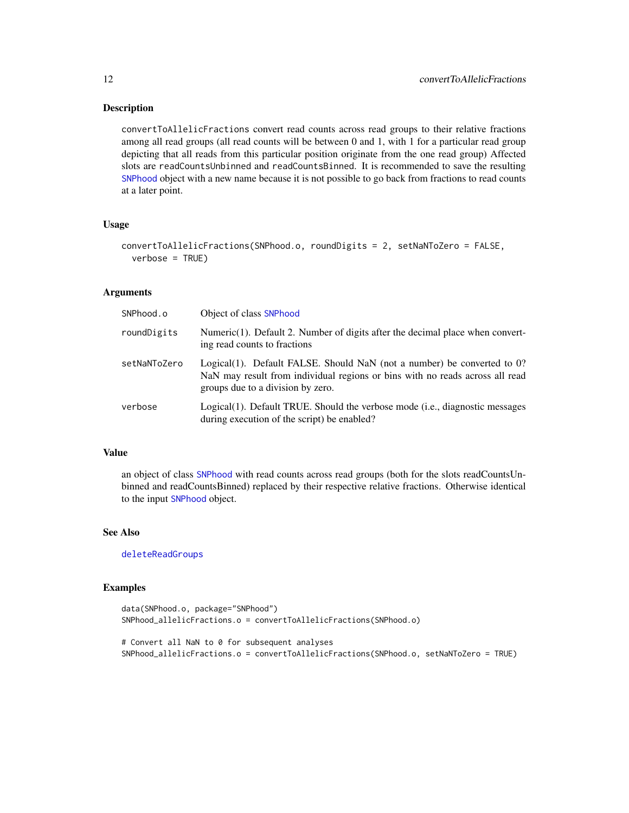#### Description

convertToAllelicFractions convert read counts across read groups to their relative fractions among all read groups (all read counts will be between 0 and 1, with 1 for a particular read group depicting that all reads from this particular position originate from the one read group) Affected slots are readCountsUnbinned and readCountsBinned. It is recommended to save the resulting [SNPhood](#page-43-2) object with a new name because it is not possible to go back from fractions to read counts at a later point.

# Usage

```
convertToAllelicFractions(SNPhood.o, roundDigits = 2, setNaNToZero = FALSE,
  verbase = TRUE)
```
#### Arguments

| SNPhood.o    | Object of class SNPhood                                                                                                                                                                      |
|--------------|----------------------------------------------------------------------------------------------------------------------------------------------------------------------------------------------|
| roundDigits  | Numeric(1). Default 2. Number of digits after the decimal place when convert-<br>ing read counts to fractions                                                                                |
| setNaNToZero | Logical(1). Default FALSE. Should NaN (not a number) be converted to 0?<br>NaN may result from individual regions or bins with no reads across all read<br>groups due to a division by zero. |
| verbose      | Logical(1). Default TRUE. Should the verbose mode (i.e., diagnostic messages<br>during execution of the script) be enabled?                                                                  |

# Value

an object of class [SNPhood](#page-43-2) with read counts across read groups (both for the slots readCountsUnbinned and readCountsBinned) replaced by their respective relative fractions. Otherwise identical to the input [SNPhood](#page-43-2) object.

#### See Also

[deleteReadGroups](#page-14-1)

```
data(SNPhood.o, package="SNPhood")
SNPhood_allelicFractions.o = convertToAllelicFractions(SNPhood.o)
# Convert all NaN to 0 for subsequent analyses
SNPhood_allelicFractions.o = convertToAllelicFractions(SNPhood.o, setNaNToZero = TRUE)
```
<span id="page-11-0"></span>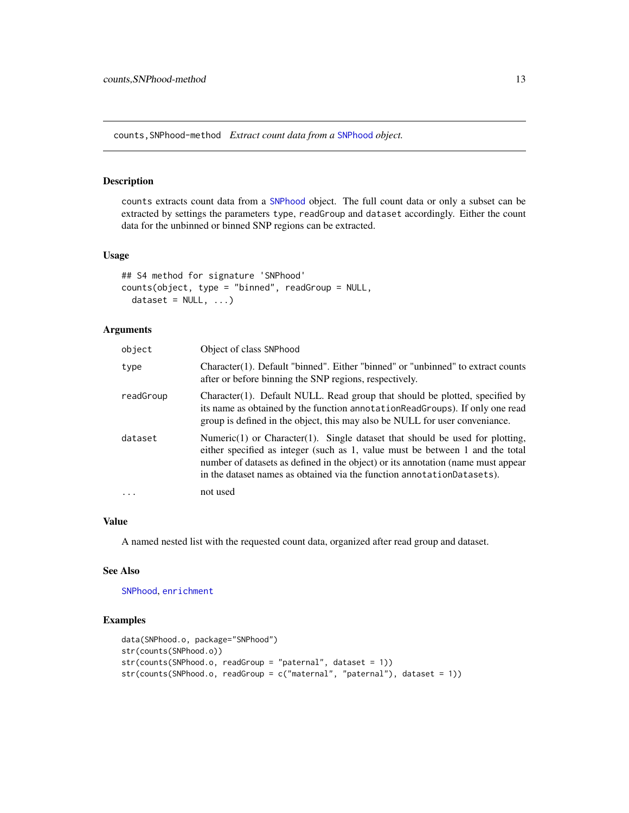<span id="page-12-0"></span>counts,SNPhood-method *Extract count data from a* [SNPhood](#page-43-2) *object.*

# <span id="page-12-1"></span>Description

counts extracts count data from a [SNPhood](#page-43-2) object. The full count data or only a subset can be extracted by settings the parameters type, readGroup and dataset accordingly. Either the count data for the unbinned or binned SNP regions can be extracted.

# Usage

```
## S4 method for signature 'SNPhood'
counts(object, type = "binned", readGroup = NULL,
  dataset = NULL, ...)
```
#### Arguments

| object    | Object of class SNPhood                                                                                                                                                                                                                                                                                                             |
|-----------|-------------------------------------------------------------------------------------------------------------------------------------------------------------------------------------------------------------------------------------------------------------------------------------------------------------------------------------|
| type      | Character(1). Default "binned". Either "binned" or "unbinned" to extract counts<br>after or before binning the SNP regions, respectively.                                                                                                                                                                                           |
| readGroup | Character(1). Default NULL. Read group that should be plotted, specified by<br>its name as obtained by the function annotation Read Groups). If only one read<br>group is defined in the object, this may also be NULL for user conveniance.                                                                                        |
| dataset   | Numeric $(1)$ or Character $(1)$ . Single dataset that should be used for plotting,<br>either specified as integer (such as 1, value must be between 1 and the total<br>number of datasets as defined in the object) or its annotation (name must appear<br>in the dataset names as obtained via the function annotation Datasets). |
|           | not used                                                                                                                                                                                                                                                                                                                            |

# Value

A named nested list with the requested count data, organized after read group and dataset.

# See Also

[SNPhood](#page-43-2), [enrichment](#page-15-1)

```
data(SNPhood.o, package="SNPhood")
str(counts(SNPhood.o))
str(counts(SNPhood.o, readGroup = "paternal", dataset = 1))
str(counts(SNPhood.o, readGroup = c("maternal", "paternal"), dataset = 1))
```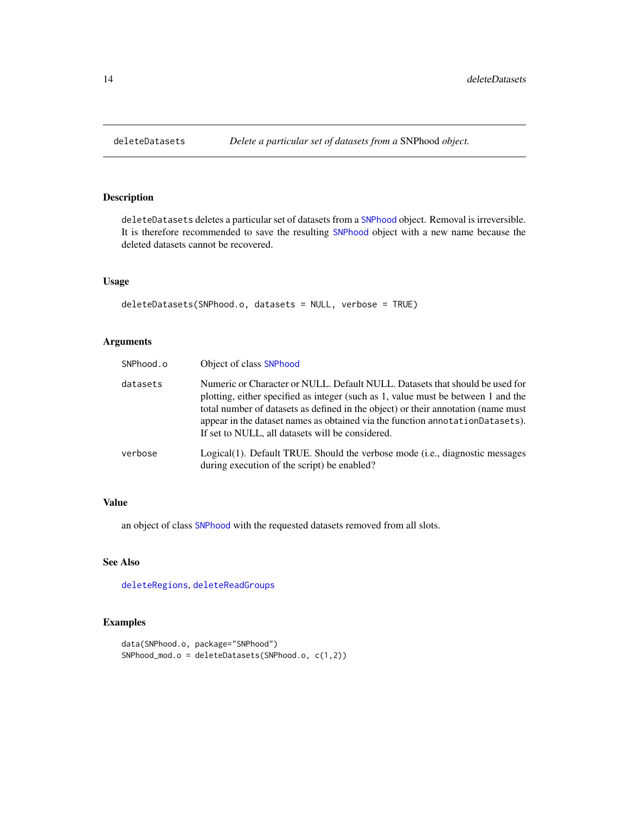<span id="page-13-1"></span><span id="page-13-0"></span>

# Description

deleteDatasets deletes a particular set of datasets from a [SNPhood](#page-43-2) object. Removal is irreversible. It is therefore recommended to save the resulting [SNPhood](#page-43-2) object with a new name because the deleted datasets cannot be recovered.

# Usage

```
deleteDatasets(SNPhood.o, datasets = NULL, verbose = TRUE)
```
# Arguments

| SNPhood.o | Object of class SNPhood                                                                                                                                                                                                                                                                                                                                                                      |
|-----------|----------------------------------------------------------------------------------------------------------------------------------------------------------------------------------------------------------------------------------------------------------------------------------------------------------------------------------------------------------------------------------------------|
| datasets  | Numeric or Character or NULL. Default NULL. Datasets that should be used for<br>plotting, either specified as integer (such as 1, value must be between 1 and the<br>total number of datasets as defined in the object) or their annotation (name must<br>appear in the dataset names as obtained via the function annotation Datasets).<br>If set to NULL, all datasets will be considered. |
| verbose   | Logical(1). Default TRUE. Should the verbose mode (i.e., diagnostic messages<br>during execution of the script) be enabled?                                                                                                                                                                                                                                                                  |

# Value

an object of class [SNPhood](#page-43-2) with the requested datasets removed from all slots.

# See Also

[deleteRegions](#page-14-2), [deleteReadGroups](#page-14-1)

```
data(SNPhood.o, package="SNPhood")
SNPhood_mod.o = deleteDatasets(SNPhood.o, c(1,2))
```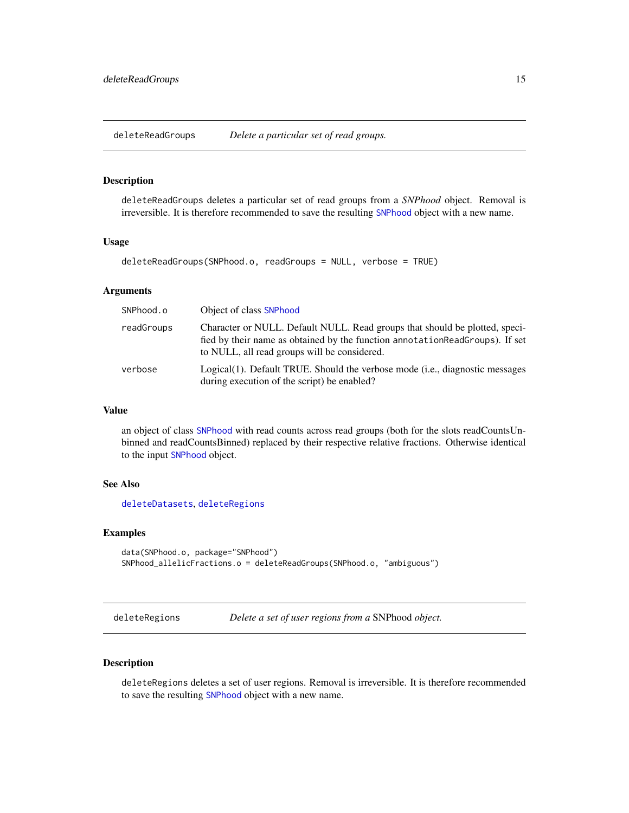<span id="page-14-1"></span><span id="page-14-0"></span>deleteReadGroups *Delete a particular set of read groups.*

# Description

deleteReadGroups deletes a particular set of read groups from a *SNPhood* object. Removal is irreversible. It is therefore recommended to save the resulting [SNPhood](#page-43-2) object with a new name.

#### Usage

```
deleteReadGroups(SNPhood.o, readGroups = NULL, verbose = TRUE)
```
#### Arguments

| SNPhood.o  | Object of class SNPhood                                                                                                                                                                                      |
|------------|--------------------------------------------------------------------------------------------------------------------------------------------------------------------------------------------------------------|
| readGroups | Character or NULL. Default NULL. Read groups that should be plotted, speci-<br>fied by their name as obtained by the function annotation ReadGroups). If set<br>to NULL, all read groups will be considered. |
| verbose    | Logical(1). Default TRUE. Should the verbose mode (i.e., diagnostic messages<br>during execution of the script) be enabled?                                                                                  |

#### Value

an object of class [SNPhood](#page-43-2) with read counts across read groups (both for the slots readCountsUnbinned and readCountsBinned) replaced by their respective relative fractions. Otherwise identical to the input [SNPhood](#page-43-2) object.

# See Also

[deleteDatasets](#page-13-1), [deleteRegions](#page-14-2)

#### Examples

```
data(SNPhood.o, package="SNPhood")
SNPhood_allelicFractions.o = deleteReadGroups(SNPhood.o, "ambiguous")
```
<span id="page-14-2"></span>deleteRegions *Delete a set of user regions from a* SNPhood *object.*

# Description

deleteRegions deletes a set of user regions. Removal is irreversible. It is therefore recommended to save the resulting [SNPhood](#page-43-2) object with a new name.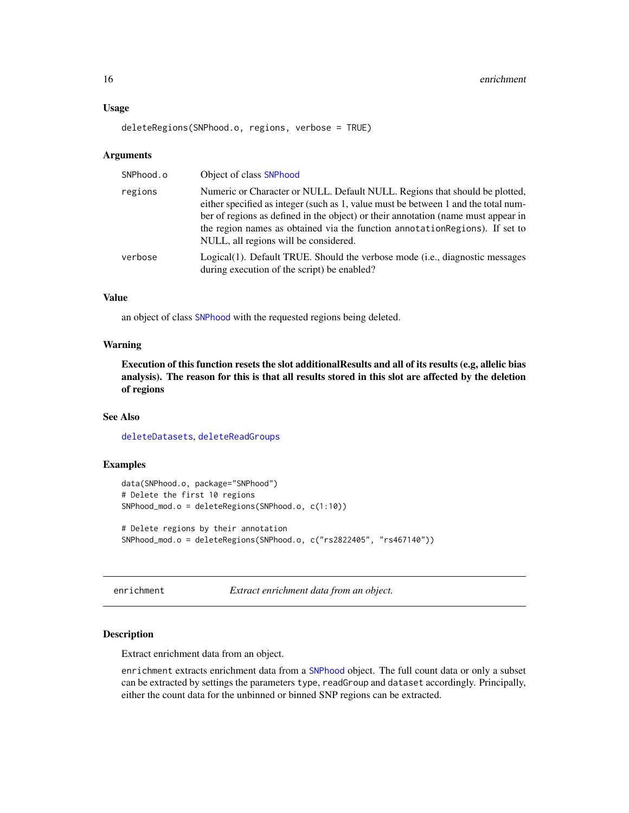#### <span id="page-15-0"></span>Usage

```
deleteRegions(SNPhood.o, regions, verbose = TRUE)
```
#### Arguments

| SNPhood.o | Object of class SNPhood                                                                                                                                                                                                                                                                                                                                                         |
|-----------|---------------------------------------------------------------------------------------------------------------------------------------------------------------------------------------------------------------------------------------------------------------------------------------------------------------------------------------------------------------------------------|
| regions   | Numeric or Character or NULL. Default NULL. Regions that should be plotted,<br>either specified as integer (such as 1, value must be between 1 and the total num-<br>ber of regions as defined in the object) or their annotation (name must appear in<br>the region names as obtained via the function annotation Regions). If set to<br>NULL, all regions will be considered. |
| verbose   | Logical(1). Default TRUE. Should the verbose mode ( <i>i.e.</i> , diagnostic messages<br>during execution of the script) be enabled?                                                                                                                                                                                                                                            |

#### Value

an object of class [SNPhood](#page-43-2) with the requested regions being deleted.

# Warning

Execution of this function resets the slot additionalResults and all of its results (e.g, allelic bias analysis). The reason for this is that all results stored in this slot are affected by the deletion of regions

#### See Also

[deleteDatasets](#page-13-1), [deleteReadGroups](#page-14-1)

#### Examples

```
data(SNPhood.o, package="SNPhood")
# Delete the first 10 regions
SNPhood_mod.o = deleteRegions(SNPhood.o, c(1:10))
# Delete regions by their annotation
SNPhood_mod.o = deleteRegions(SNPhood.o, c("rs2822405", "rs467140"))
```
<span id="page-15-1"></span>enrichment *Extract enrichment data from an object.*

#### Description

Extract enrichment data from an object.

enrichment extracts enrichment data from a [SNPhood](#page-43-2) object. The full count data or only a subset can be extracted by settings the parameters type, readGroup and dataset accordingly. Principally, either the count data for the unbinned or binned SNP regions can be extracted.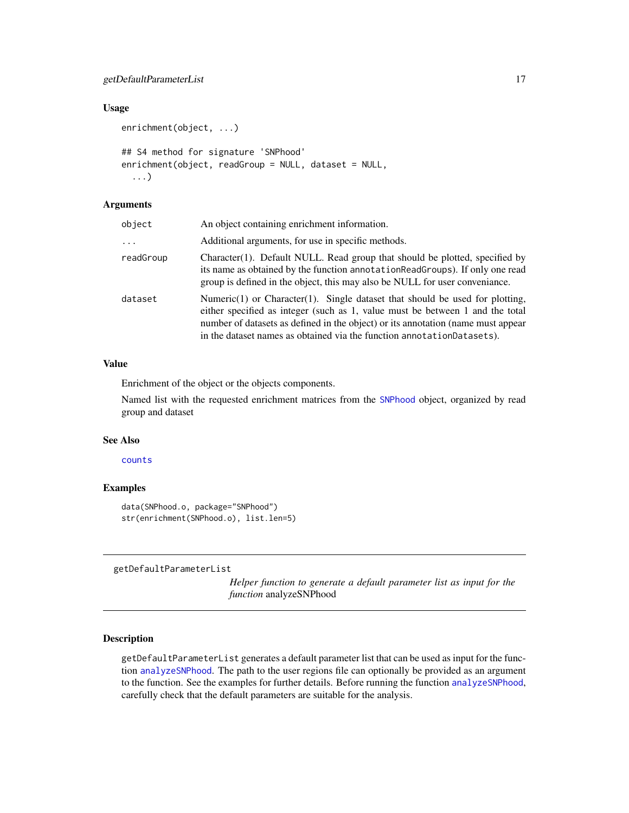# <span id="page-16-0"></span>getDefaultParameterList 17

#### Usage

```
enrichment(object, ...)
## S4 method for signature 'SNPhood'
enrichment(object, readGroup = NULL, dataset = NULL,
  ...)
```
# Arguments

| object    | An object containing enrichment information.                                                                                                                                                                                                                                                                                        |
|-----------|-------------------------------------------------------------------------------------------------------------------------------------------------------------------------------------------------------------------------------------------------------------------------------------------------------------------------------------|
| $\cdots$  | Additional arguments, for use in specific methods.                                                                                                                                                                                                                                                                                  |
| readGroup | Character(1). Default NULL. Read group that should be plotted, specified by<br>its name as obtained by the function annotation ReadGroups). If only one read<br>group is defined in the object, this may also be NULL for user conveniance.                                                                                         |
| dataset   | Numeric $(1)$ or Character $(1)$ . Single dataset that should be used for plotting,<br>either specified as integer (such as 1, value must be between 1 and the total<br>number of datasets as defined in the object) or its annotation (name must appear<br>in the dataset names as obtained via the function annotation Datasets). |

# Value

Enrichment of the object or the objects components.

Named list with the requested enrichment matrices from the [SNPhood](#page-43-2) object, organized by read group and dataset

# See Also

[counts](#page-12-1)

#### Examples

data(SNPhood.o, package="SNPhood") str(enrichment(SNPhood.o), list.len=5)

<span id="page-16-1"></span>getDefaultParameterList

*Helper function to generate a default parameter list as input for the function* analyzeSNPhood

# Description

getDefaultParameterList generates a default parameter list that can be used as input for the function [analyzeSNPhood](#page-2-1). The path to the user regions file can optionally be provided as an argument to the function. See the examples for further details. Before running the function [analyzeSNPhood](#page-2-1), carefully check that the default parameters are suitable for the analysis.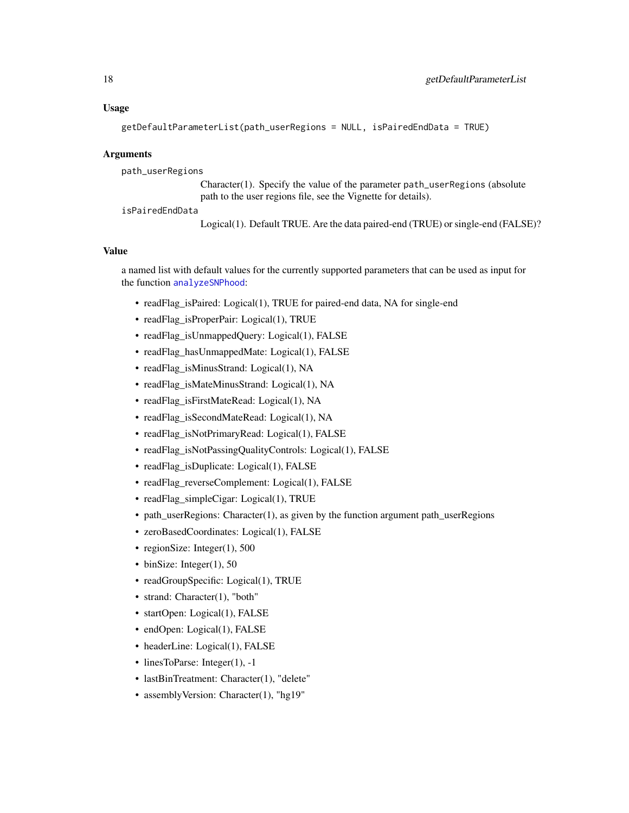#### Usage

```
getDefaultParameterList(path_userRegions = NULL, isPairedEndData = TRUE)
```
#### Arguments

path\_userRegions

Character(1). Specify the value of the parameter path\_userRegions (absolute path to the user regions file, see the Vignette for details).

isPairedEndData

Logical(1). Default TRUE. Are the data paired-end (TRUE) or single-end (FALSE)?

# Value

a named list with default values for the currently supported parameters that can be used as input for the function [analyzeSNPhood](#page-2-1):

- readFlag\_isPaired: Logical(1), TRUE for paired-end data, NA for single-end
- readFlag\_isProperPair: Logical(1), TRUE
- readFlag\_isUnmappedQuery: Logical(1), FALSE
- readFlag\_hasUnmappedMate: Logical(1), FALSE
- readFlag\_isMinusStrand: Logical(1), NA
- readFlag\_isMateMinusStrand: Logical(1), NA
- readFlag\_isFirstMateRead: Logical(1), NA
- readFlag\_isSecondMateRead: Logical(1), NA
- readFlag\_isNotPrimaryRead: Logical(1), FALSE
- readFlag\_isNotPassingQualityControls: Logical(1), FALSE
- readFlag\_isDuplicate: Logical(1), FALSE
- readFlag\_reverseComplement: Logical(1), FALSE
- readFlag\_simpleCigar: Logical(1), TRUE
- path\_userRegions: Character(1), as given by the function argument path\_userRegions
- zeroBasedCoordinates: Logical(1), FALSE
- regionSize: Integer(1), 500
- binSize: Integer(1), 50
- readGroupSpecific: Logical(1), TRUE
- strand: Character(1), "both"
- startOpen: Logical(1), FALSE
- endOpen: Logical(1), FALSE
- headerLine: Logical(1), FALSE
- linesToParse: Integer(1), -1
- lastBinTreatment: Character(1), "delete"
- assemblyVersion: Character(1), "hg19"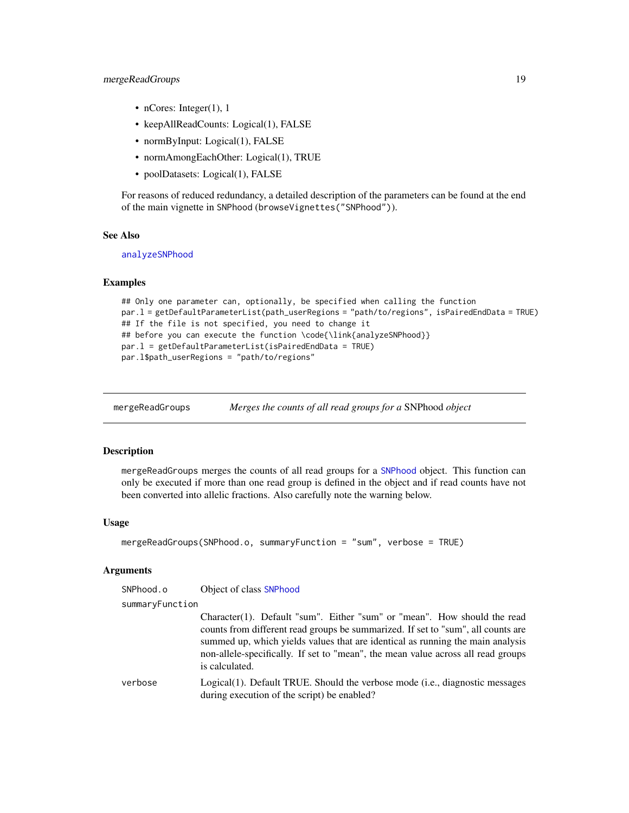# <span id="page-18-0"></span>mergeReadGroups 19

- nCores: Integer(1), 1
- keepAllReadCounts: Logical(1), FALSE
- normByInput: Logical(1), FALSE
- normAmongEachOther: Logical(1), TRUE
- poolDatasets: Logical(1), FALSE

For reasons of reduced redundancy, a detailed description of the parameters can be found at the end of the main vignette in SNPhood (browseVignettes("SNPhood")).

#### See Also

[analyzeSNPhood](#page-2-1)

#### Examples

```
## Only one parameter can, optionally, be specified when calling the function
par.l = getDefaultParameterList(path_userRegions = "path/to/regions", isPairedEndData = TRUE)
## If the file is not specified, you need to change it
## before you can execute the function \code{\link{analyzeSNPhood}}
par.l = getDefaultParameterList(isPairedEndData = TRUE)
par.l$path_userRegions = "path/to/regions"
```
<span id="page-18-1"></span>mergeReadGroups *Merges the counts of all read groups for a* SNPhood *object*

# Description

mergeReadGroups merges the counts of all read groups for a [SNPhood](#page-43-1) object. This function can only be executed if more than one read group is defined in the object and if read counts have not been converted into allelic fractions. Also carefully note the warning below.

#### Usage

```
mergeReadGroups(SNPhood.o, summaryFunction = "sum", verbose = TRUE)
```
#### Arguments

SNPhood.o Object of class [SNPhood](#page-43-1)

summaryFunction

Character(1). Default "sum". Either "sum" or "mean". How should the read counts from different read groups be summarized. If set to "sum", all counts are summed up, which yields values that are identical as running the main analysis non-allele-specifically. If set to "mean", the mean value across all read groups is calculated.

verbose Logical(1). Default TRUE. Should the verbose mode (i.e., diagnostic messages during execution of the script) be enabled?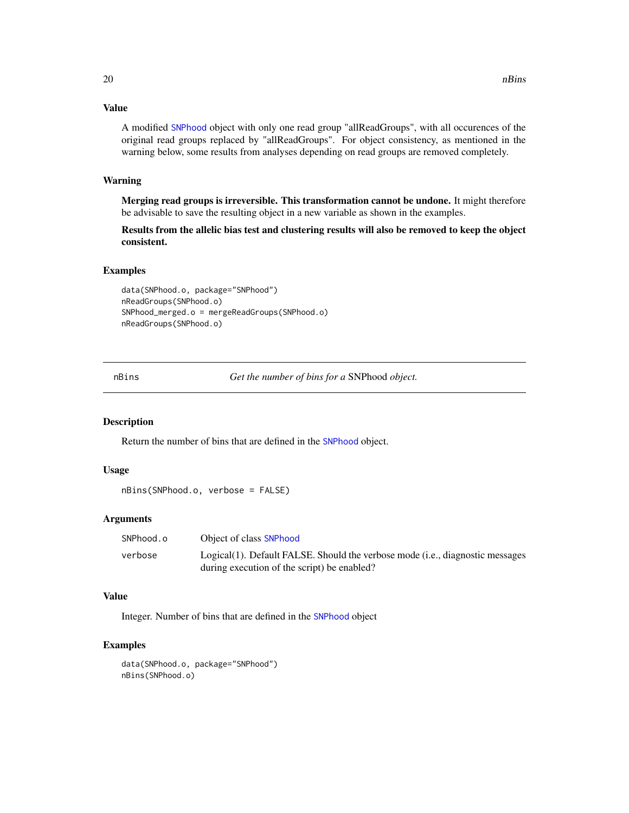<span id="page-19-0"></span>A modified [SNPhood](#page-43-1) object with only one read group "allReadGroups", with all occurences of the original read groups replaced by "allReadGroups". For object consistency, as mentioned in the warning below, some results from analyses depending on read groups are removed completely.

# Warning

Merging read groups is irreversible. This transformation cannot be undone. It might therefore be advisable to save the resulting object in a new variable as shown in the examples.

Results from the allelic bias test and clustering results will also be removed to keep the object consistent.

# Examples

data(SNPhood.o, package="SNPhood") nReadGroups(SNPhood.o) SNPhood\_merged.o = mergeReadGroups(SNPhood.o) nReadGroups(SNPhood.o)

<span id="page-19-1"></span>nBins *Get the number of bins for a* SNPhood *object.*

#### Description

Return the number of bins that are defined in the [SNPhood](#page-43-1) object.

#### Usage

```
nBins(SNPhood.o, verbose = FALSE)
```
# Arguments

| SNPhood.o | Object of class SNPhood                                                       |
|-----------|-------------------------------------------------------------------------------|
| verbose   | Logical(1). Default FALSE. Should the verbose mode (i.e., diagnostic messages |
|           | during execution of the script) be enabled?                                   |

#### Value

Integer. Number of bins that are defined in the [SNPhood](#page-43-1) object

#### Examples

data(SNPhood.o, package="SNPhood") nBins(SNPhood.o)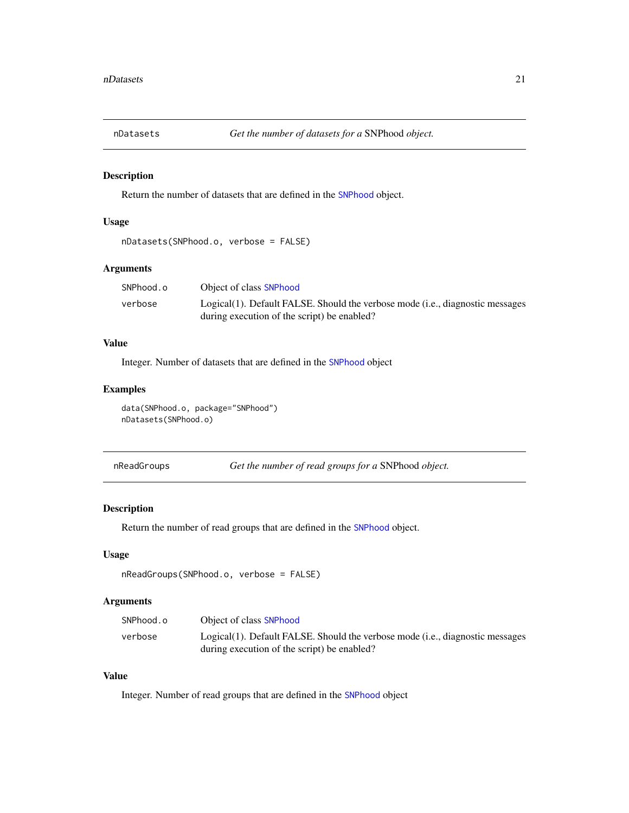<span id="page-20-1"></span><span id="page-20-0"></span>

# Description

Return the number of datasets that are defined in the [SNPhood](#page-43-1) object.

#### Usage

```
nDatasets(SNPhood.o, verbose = FALSE)
```
# Arguments

| SNPhood.o | Object of class SNPhood                                                       |
|-----------|-------------------------------------------------------------------------------|
| verbose   | Logical(1). Default FALSE. Should the verbose mode (i.e., diagnostic messages |
|           | during execution of the script) be enabled?                                   |

# Value

Integer. Number of datasets that are defined in the [SNPhood](#page-43-1) object

# Examples

data(SNPhood.o, package="SNPhood") nDatasets(SNPhood.o)

<span id="page-20-2"></span>

| nReadGroups | Get the number of read groups for a SNPhood object. |  |
|-------------|-----------------------------------------------------|--|
|-------------|-----------------------------------------------------|--|

# Description

Return the number of read groups that are defined in the [SNPhood](#page-43-1) object.

# Usage

```
nReadGroups(SNPhood.o, verbose = FALSE)
```
# Arguments

| SNPhood.o | Object of class SNPhood                                                       |
|-----------|-------------------------------------------------------------------------------|
| verbose   | Logical(1). Default FALSE. Should the verbose mode (i.e., diagnostic messages |
|           | during execution of the script) be enabled?                                   |

# Value

Integer. Number of read groups that are defined in the [SNPhood](#page-43-1) object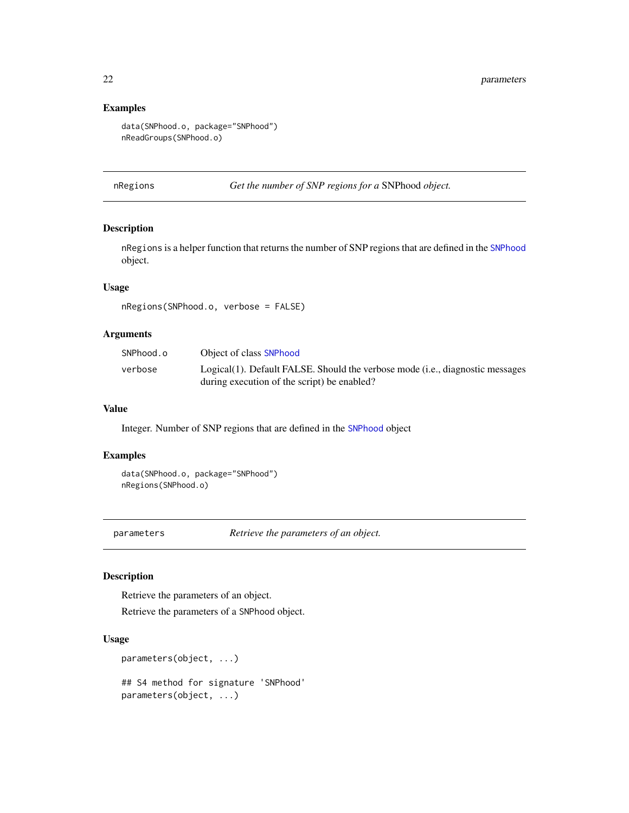# Examples

```
data(SNPhood.o, package="SNPhood")
nReadGroups(SNPhood.o)
```
<span id="page-21-1"></span>nRegions *Get the number of SNP regions for a* SNPhood *object.*

# Description

nRegions is a helper function that returns the number of SNP regions that are defined in the [SNPhood](#page-43-1) object.

# Usage

nRegions(SNPhood.o, verbose = FALSE)

# Arguments

| SNPhood.o | Object of class SNPhood                                                       |
|-----------|-------------------------------------------------------------------------------|
| verbose   | Logical(1). Default FALSE. Should the verbose mode (i.e., diagnostic messages |
|           | during execution of the script) be enabled?                                   |

#### Value

Integer. Number of SNP regions that are defined in the [SNPhood](#page-43-1) object

#### Examples

data(SNPhood.o, package="SNPhood") nRegions(SNPhood.o)

<span id="page-21-2"></span>parameters *Retrieve the parameters of an object.*

# Description

Retrieve the parameters of an object.

Retrieve the parameters of a SNPhood object.

# Usage

```
parameters(object, ...)
```
## S4 method for signature 'SNPhood' parameters(object, ...)

<span id="page-21-0"></span>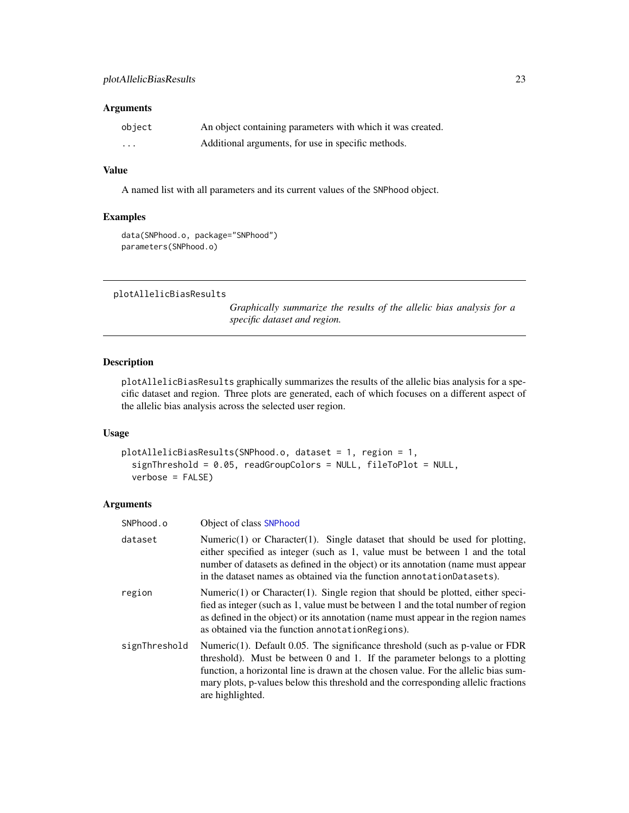#### <span id="page-22-0"></span>Arguments

| object   | An object containing parameters with which it was created. |
|----------|------------------------------------------------------------|
| $\cdots$ | Additional arguments, for use in specific methods.         |

# Value

A named list with all parameters and its current values of the SNPhood object.

#### Examples

data(SNPhood.o, package="SNPhood") parameters(SNPhood.o)

```
plotAllelicBiasResults
```
*Graphically summarize the results of the allelic bias analysis for a specific dataset and region.*

# Description

plotAllelicBiasResults graphically summarizes the results of the allelic bias analysis for a specific dataset and region. Three plots are generated, each of which focuses on a different aspect of the allelic bias analysis across the selected user region.

#### Usage

```
plotAllelicBiasResults(SNPhood.o, dataset = 1, region = 1,
  signThreshold = 0.05, readGroupColors = NULL, fileToPlot = NULL,
  verbose = FALSE)
```

| SNPhood.o     | Object of class SNPhood                                                                                                                                                                                                                                                                                                                                         |
|---------------|-----------------------------------------------------------------------------------------------------------------------------------------------------------------------------------------------------------------------------------------------------------------------------------------------------------------------------------------------------------------|
| dataset       | Numeric(1) or Character(1). Single dataset that should be used for plotting,<br>either specified as integer (such as 1, value must be between 1 and the total<br>number of datasets as defined in the object) or its annotation (name must appear<br>in the dataset names as obtained via the function annotation Datasets).                                    |
| region        | Numeric $(1)$ or Character $(1)$ . Single region that should be plotted, either speci-<br>fied as integer (such as 1, value must be between 1 and the total number of region<br>as defined in the object) or its annotation (name must appear in the region names<br>as obtained via the function annotation Regions).                                          |
| signThreshold | Numeric $(1)$ . Default 0.05. The significance threshold (such as p-value or FDR<br>threshold). Must be between 0 and 1. If the parameter belongs to a plotting<br>function, a horizontal line is drawn at the chosen value. For the allelic bias sum-<br>mary plots, p-values below this threshold and the corresponding allelic fractions<br>are highlighted. |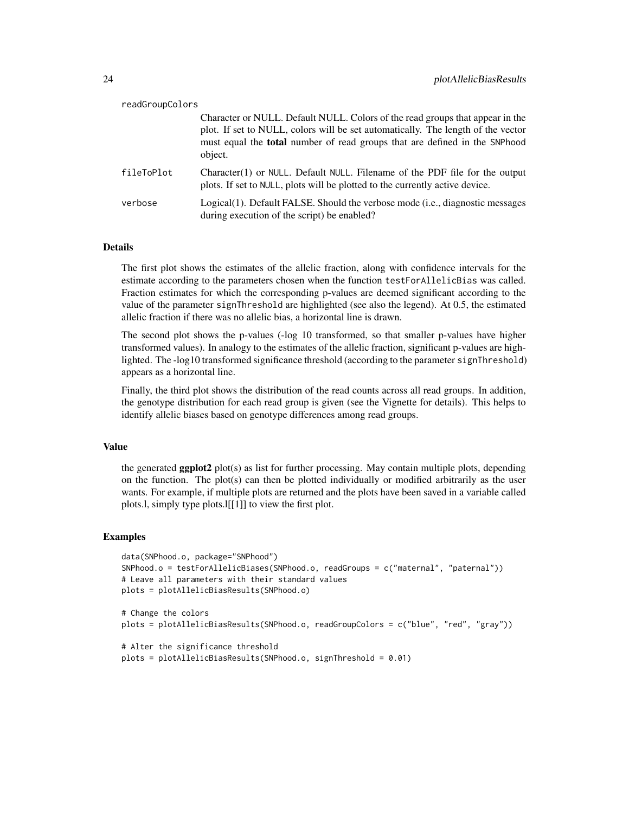| readGroupColors |                                                                                                                                                                                                                                                                   |
|-----------------|-------------------------------------------------------------------------------------------------------------------------------------------------------------------------------------------------------------------------------------------------------------------|
|                 | Character or NULL. Default NULL. Colors of the read groups that appear in the<br>plot. If set to NULL, colors will be set automatically. The length of the vector<br>must equal the <b>total</b> number of read groups that are defined in the SNPhood<br>object. |
| fileToPlot      | Character(1) or NULL. Default NULL. Filename of the PDF file for the output<br>plots. If set to NULL, plots will be plotted to the currently active device.                                                                                                       |
| verbose         | Logical(1). Default FALSE. Should the verbose mode (i.e., diagnostic messages<br>during execution of the script) be enabled?                                                                                                                                      |

# Details

The first plot shows the estimates of the allelic fraction, along with confidence intervals for the estimate according to the parameters chosen when the function testForAllelicBias was called. Fraction estimates for which the corresponding p-values are deemed significant according to the value of the parameter signThreshold are highlighted (see also the legend). At 0.5, the estimated allelic fraction if there was no allelic bias, a horizontal line is drawn.

The second plot shows the p-values (-log 10 transformed, so that smaller p-values have higher transformed values). In analogy to the estimates of the allelic fraction, significant p-values are highlighted. The -log10 transformed significance threshold (according to the parameter signThreshold) appears as a horizontal line.

Finally, the third plot shows the distribution of the read counts across all read groups. In addition, the genotype distribution for each read group is given (see the Vignette for details). This helps to identify allelic biases based on genotype differences among read groups.

#### Value

the generated **ggplot2** plot(s) as list for further processing. May contain multiple plots, depending on the function. The plot(s) can then be plotted individually or modified arbitrarily as the user wants. For example, if multiple plots are returned and the plots have been saved in a variable called plots.l, simply type plots.l[[1]] to view the first plot.

```
data(SNPhood.o, package="SNPhood")
SNPhood.o = testForAllelicBiases(SNPhood.o, readGroups = c("maternal", "paternal"))
# Leave all parameters with their standard values
plots = plotAllelicBiasResults(SNPhood.o)
# Change the colors
plots = plotAllelicBiasResults(SNPhood.o, readGroupColors = c("blue", "red", "gray"))
# Alter the significance threshold
plots = plotAllelicBiasResults(SNPhood.o, signThreshold = 0.01)
```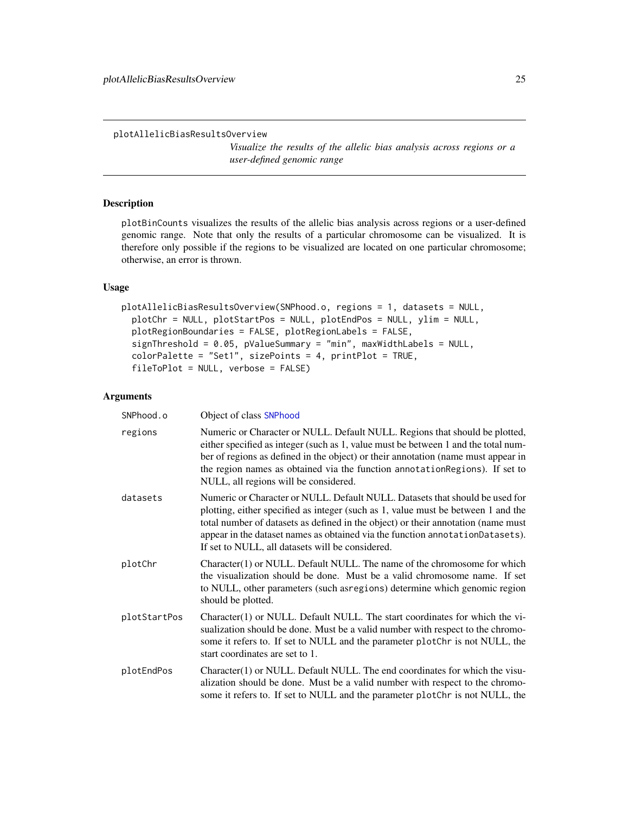<span id="page-24-1"></span><span id="page-24-0"></span>plotAllelicBiasResultsOverview

*Visualize the results of the allelic bias analysis across regions or a user-defined genomic range*

#### Description

plotBinCounts visualizes the results of the allelic bias analysis across regions or a user-defined genomic range. Note that only the results of a particular chromosome can be visualized. It is therefore only possible if the regions to be visualized are located on one particular chromosome; otherwise, an error is thrown.

#### Usage

```
plotAllelicBiasResultsOverview(SNPhood.o, regions = 1, datasets = NULL,
  plotChr = NULL, plotStartPos = NULL, plotEndPos = NULL, ylim = NULL,
  plotRegionBoundaries = FALSE, plotRegionLabels = FALSE,
  signThreshold = 0.05, pValueSummary = "min", maxWidthLabels = NULL,
  color^\text{red}{\text{colorPalette}} = "Set1", size\text{Points}} = 4, print\text{Plot}} = \text{TRUE},fileToPlot = NULL, verbose = FALSE)
```

```
SNPhood.o Object of class SNPhood
regions Numeric or Character or NULL. Default NULL. Regions that should be plotted,
                  either specified as integer (such as 1, value must be between 1 and the total num-
                  ber of regions as defined in the object) or their annotation (name must appear in
                  the region names as obtained via the function annotationRegions). If set to
                  NULL, all regions will be considered.
datasets Numeric or Character or NULL. Default NULL. Datasets that should be used for
                  plotting, either specified as integer (such as 1, value must be between 1 and the
                  total number of datasets as defined in the object) or their annotation (name must
                  appear in the dataset names as obtained via the function annotationDatasets).
                  If set to NULL, all datasets will be considered.
plotChr Character(1) or NULL. Default NULL. The name of the chromosome for which
                  the visualization should be done. Must be a valid chromosome name. If set
                  to NULL, other parameters (such asregions) determine which genomic region
                  should be plotted.
plotStartPos Character(1) or NULL. Default NULL. The start coordinates for which the vi-
                  sualization should be done. Must be a valid number with respect to the chromo-
                  some it refers to. If set to NULL and the parameter plotChr is not NULL, the
                  start coordinates are set to 1.
plotEndPos Character(1) or NULL. Default NULL. The end coordinates for which the visu-
                  alization should be done. Must be a valid number with respect to the chromo-
                  some it refers to. If set to NULL and the parameter plotChr is not NULL, the
```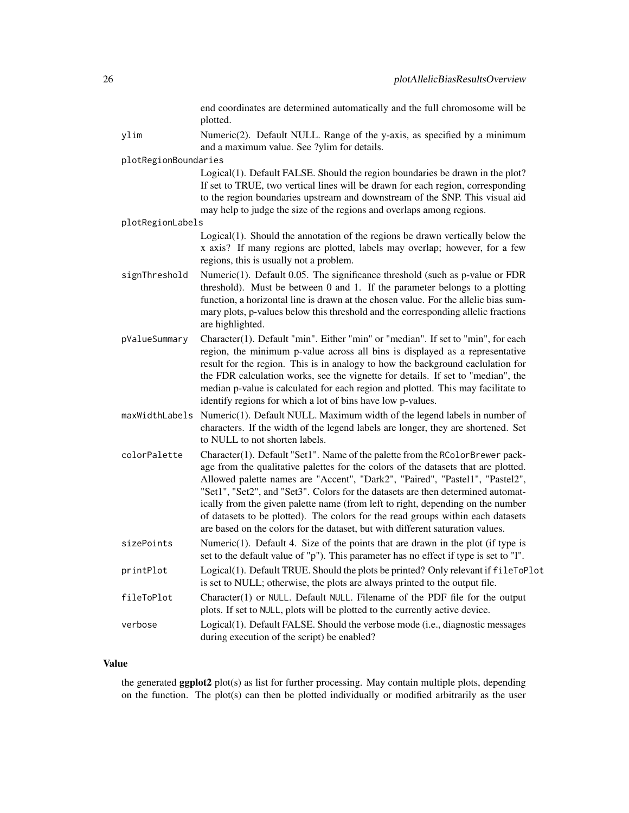|                      | end coordinates are determined automatically and the full chromosome will be<br>plotted.                                                                                                                                                                                                                                                                                                                                                                                                                                                                                                        |
|----------------------|-------------------------------------------------------------------------------------------------------------------------------------------------------------------------------------------------------------------------------------------------------------------------------------------------------------------------------------------------------------------------------------------------------------------------------------------------------------------------------------------------------------------------------------------------------------------------------------------------|
| ylim                 | Numeric(2). Default NULL. Range of the y-axis, as specified by a minimum<br>and a maximum value. See ?ylim for details.                                                                                                                                                                                                                                                                                                                                                                                                                                                                         |
| plotRegionBoundaries |                                                                                                                                                                                                                                                                                                                                                                                                                                                                                                                                                                                                 |
|                      | Logical(1). Default FALSE. Should the region boundaries be drawn in the plot?<br>If set to TRUE, two vertical lines will be drawn for each region, corresponding<br>to the region boundaries upstream and downstream of the SNP. This visual aid<br>may help to judge the size of the regions and overlaps among regions.                                                                                                                                                                                                                                                                       |
| plotRegionLabels     |                                                                                                                                                                                                                                                                                                                                                                                                                                                                                                                                                                                                 |
|                      | Logical(1). Should the annotation of the regions be drawn vertically below the<br>x axis? If many regions are plotted, labels may overlap; however, for a few<br>regions, this is usually not a problem.                                                                                                                                                                                                                                                                                                                                                                                        |
| signThreshold        | Numeric $(1)$ . Default 0.05. The significance threshold (such as p-value or FDR<br>threshold). Must be between 0 and 1. If the parameter belongs to a plotting<br>function, a horizontal line is drawn at the chosen value. For the allelic bias sum-<br>mary plots, p-values below this threshold and the corresponding allelic fractions<br>are highlighted.                                                                                                                                                                                                                                 |
| pValueSummary        | Character(1). Default "min". Either "min" or "median". If set to "min", for each<br>region, the minimum p-value across all bins is displayed as a representative<br>result for the region. This is in analogy to how the background caclulation for<br>the FDR calculation works, see the vignette for details. If set to "median", the<br>median p-value is calculated for each region and plotted. This may facilitate to<br>identify regions for which a lot of bins have low p-values.                                                                                                      |
| maxWidthLabels       | Numeric(1). Default NULL. Maximum width of the legend labels in number of<br>characters. If the width of the legend labels are longer, they are shortened. Set<br>to NULL to not shorten labels.                                                                                                                                                                                                                                                                                                                                                                                                |
| colorPalette         | Character(1). Default "Set1". Name of the palette from the RColorBrewer pack-<br>age from the qualitative palettes for the colors of the datasets that are plotted.<br>Allowed palette names are "Accent", "Dark2", "Paired", "Pastel1", "Pastel2",<br>"Set1", "Set2", and "Set3". Colors for the datasets are then determined automat-<br>ically from the given palette name (from left to right, depending on the number<br>of datasets to be plotted). The colors for the read groups within each datasets<br>are based on the colors for the dataset, but with different saturation values. |
| sizePoints           | Numeric(1). Default 4. Size of the points that are drawn in the plot (if type is<br>set to the default value of "p"). This parameter has no effect if type is set to "l".                                                                                                                                                                                                                                                                                                                                                                                                                       |
| printPlot            | Logical(1). Default TRUE. Should the plots be printed? Only relevant if fileToPlot<br>is set to NULL; otherwise, the plots are always printed to the output file.                                                                                                                                                                                                                                                                                                                                                                                                                               |
| fileToPlot           | Character(1) or NULL. Default NULL. Filename of the PDF file for the output<br>plots. If set to NULL, plots will be plotted to the currently active device.                                                                                                                                                                                                                                                                                                                                                                                                                                     |
| verbose              | Logical(1). Default FALSE. Should the verbose mode (i.e., diagnostic messages<br>during execution of the script) be enabled?                                                                                                                                                                                                                                                                                                                                                                                                                                                                    |

the generated ggplot2 plot(s) as list for further processing. May contain multiple plots, depending on the function. The plot(s) can then be plotted individually or modified arbitrarily as the user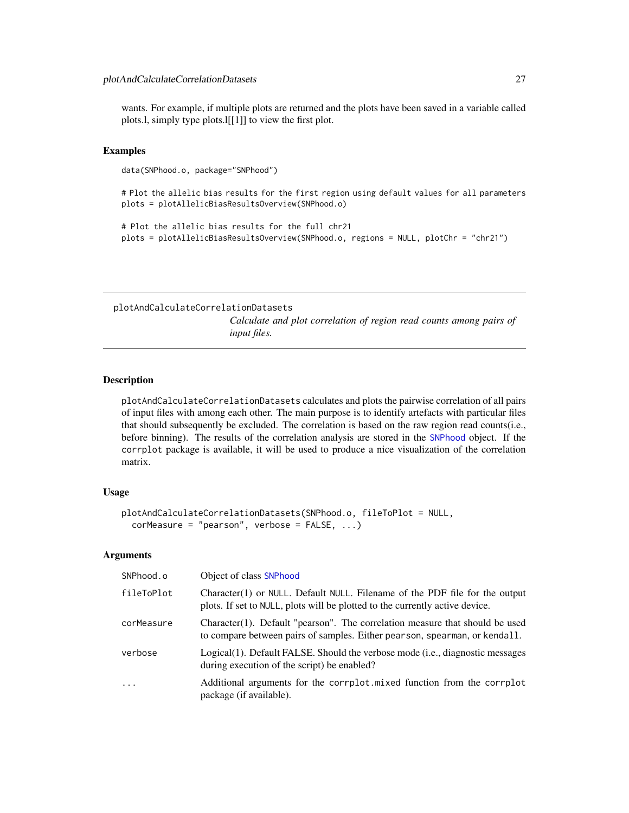<span id="page-26-0"></span>wants. For example, if multiple plots are returned and the plots have been saved in a variable called plots.l, simply type plots.l[[1]] to view the first plot.

#### Examples

data(SNPhood.o, package="SNPhood")

# Plot the allelic bias results for the first region using default values for all parameters plots = plotAllelicBiasResultsOverview(SNPhood.o)

# Plot the allelic bias results for the full chr21 plots = plotAllelicBiasResultsOverview(SNPhood.o, regions = NULL, plotChr = "chr21")

<span id="page-26-1"></span>plotAndCalculateCorrelationDatasets

*Calculate and plot correlation of region read counts among pairs of input files.*

# Description

plotAndCalculateCorrelationDatasets calculates and plots the pairwise correlation of all pairs of input files with among each other. The main purpose is to identify artefacts with particular files that should subsequently be excluded. The correlation is based on the raw region read counts(i.e., before binning). The results of the correlation analysis are stored in the [SNPhood](#page-43-1) object. If the corrplot package is available, it will be used to produce a nice visualization of the correlation matrix.

#### Usage

```
plotAndCalculateCorrelationDatasets(SNPhood.o, fileToPlot = NULL,
  corMeasure = "pearson", verbose = FALSE, ...)
```

| SNPhood.o  | Object of class SNPhood                                                                                                                                     |
|------------|-------------------------------------------------------------------------------------------------------------------------------------------------------------|
| fileToPlot | Character(1) or NULL. Default NULL. Filename of the PDF file for the output<br>plots. If set to NULL, plots will be plotted to the currently active device. |
| corMeasure | Character(1). Default "pearson". The correlation measure that should be used<br>to compare between pairs of samples. Either pearson, spearman, or kendall.  |
| verbose    | Logical(1). Default FALSE. Should the verbose mode (i.e., diagnostic messages<br>during execution of the script) be enabled?                                |
| $\cdots$   | Additional arguments for the corrplot mixed function from the corrplot<br>package (if available).                                                           |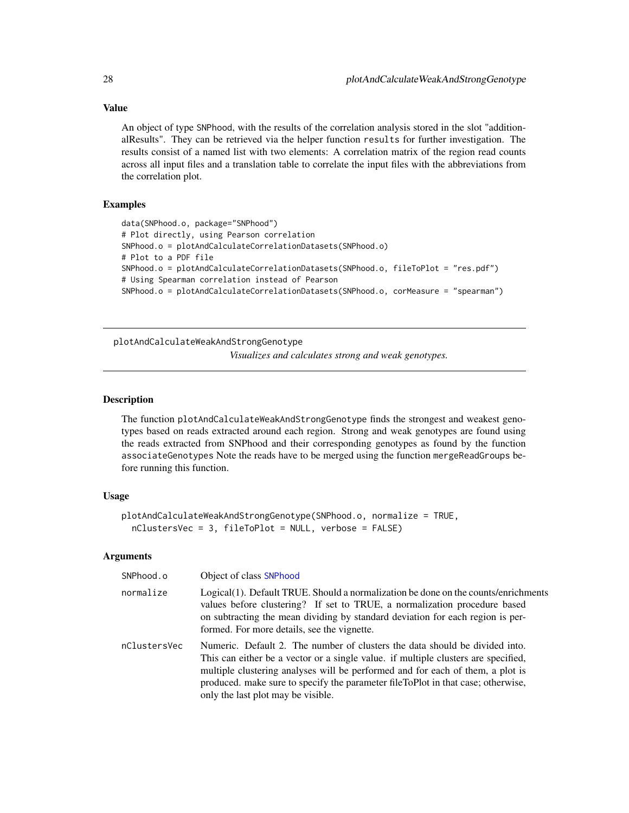An object of type SNPhood, with the results of the correlation analysis stored in the slot "additionalResults". They can be retrieved via the helper function results for further investigation. The results consist of a named list with two elements: A correlation matrix of the region read counts across all input files and a translation table to correlate the input files with the abbreviations from the correlation plot.

# **Examples**

```
data(SNPhood.o, package="SNPhood")
# Plot directly, using Pearson correlation
SNPhood.o = plotAndCalculateCorrelationDatasets(SNPhood.o)
# Plot to a PDF file
SNPhood.o = plotAndCalculateCorrelationDatasets(SNPhood.o, fileToPlot = "res.pdf")
# Using Spearman correlation instead of Pearson
SNPhood.o = plotAndCalculateCorrelationDatasets(SNPhood.o, corMeasure = "spearman")
```
<span id="page-27-1"></span>plotAndCalculateWeakAndStrongGenotype

*Visualizes and calculates strong and weak genotypes.*

#### Description

The function plotAndCalculateWeakAndStrongGenotype finds the strongest and weakest genotypes based on reads extracted around each region. Strong and weak genotypes are found using the reads extracted from SNPhood and their corresponding genotypes as found by the function associateGenotypes Note the reads have to be merged using the function mergeReadGroups before running this function.

### Usage

```
plotAndCalculateWeakAndStrongGenotype(SNPhood.o, normalize = TRUE,
  nClustersVec = 3, fileToPlot = NULL, verbose = FALSE)
```

| SNPhood.o    | Object of class SNPhood                                                                                                                                                                                                                                                                                                                                                       |
|--------------|-------------------------------------------------------------------------------------------------------------------------------------------------------------------------------------------------------------------------------------------------------------------------------------------------------------------------------------------------------------------------------|
| normalize    | Logical(1). Default TRUE. Should a normalization be done on the counts/enrichments<br>values before clustering? If set to TRUE, a normalization procedure based<br>on subtracting the mean dividing by standard deviation for each region is per-<br>formed. For more details, see the vignette.                                                                              |
| nClustersVec | Numeric. Default 2. The number of clusters the data should be divided into.<br>This can either be a vector or a single value. if multiple clusters are specified,<br>multiple clustering analyses will be performed and for each of them, a plot is<br>produced. make sure to specify the parameter fileToPlot in that case; otherwise,<br>only the last plot may be visible. |

<span id="page-27-0"></span>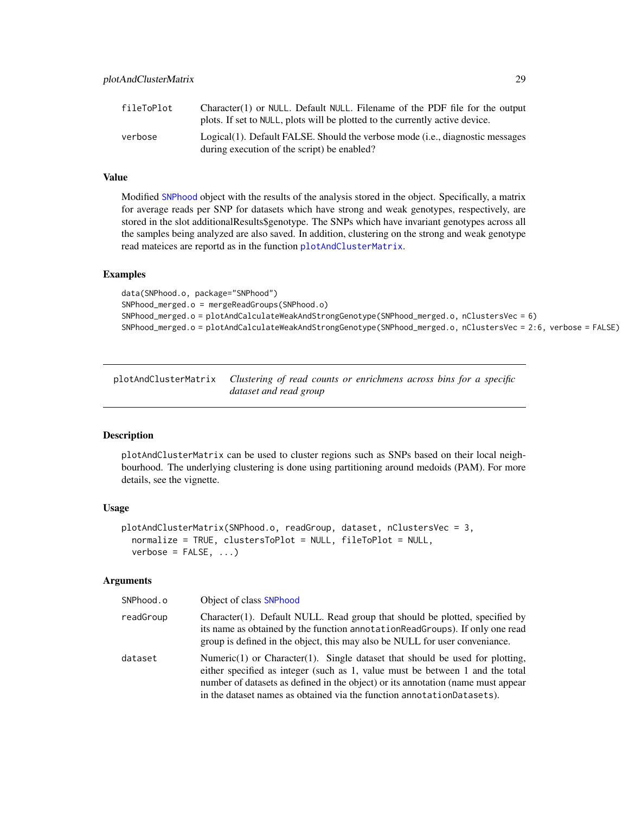<span id="page-28-0"></span>

| fileToPlot | $Character(1)$ or NULL. Default NULL. Filename of the PDF file for the output<br>plots. If set to NULL, plots will be plotted to the currently active device. |
|------------|---------------------------------------------------------------------------------------------------------------------------------------------------------------|
| verbose    | Logical(1). Default FALSE. Should the verbose mode (i.e., diagnostic messages<br>during execution of the script) be enabled?                                  |

Modified [SNPhood](#page-43-1) object with the results of the analysis stored in the object. Specifically, a matrix for average reads per SNP for datasets which have strong and weak genotypes, respectively, are stored in the slot additionalResults\$genotype. The SNPs which have invariant genotypes across all the samples being analyzed are also saved. In addition, clustering on the strong and weak genotype read mateices are reportd as in the function [plotAndClusterMatrix](#page-28-1).

#### Examples

data(SNPhood.o, package="SNPhood") SNPhood\_merged.o = mergeReadGroups(SNPhood.o) SNPhood\_merged.o = plotAndCalculateWeakAndStrongGenotype(SNPhood\_merged.o, nClustersVec = 6) SNPhood\_merged.o = plotAndCalculateWeakAndStrongGenotype(SNPhood\_merged.o, nClustersVec = 2:6, verbose = FALSE)

<span id="page-28-1"></span>plotAndClusterMatrix *Clustering of read counts or enrichmens across bins for a specific dataset and read group*

#### Description

plotAndClusterMatrix can be used to cluster regions such as SNPs based on their local neighbourhood. The underlying clustering is done using partitioning around medoids (PAM). For more details, see the vignette.

# Usage

```
plotAndClusterMatrix(SNPhood.o, readGroup, dataset, nClustersVec = 3,
  normalize = TRUE, clustersToPlot = NULL, fileToPlot = NULL,
  verbose = FALSE, ...)
```

| SNPhood.o | Object of class SNPhood                                                                                                                                                                                                                                                                                                      |
|-----------|------------------------------------------------------------------------------------------------------------------------------------------------------------------------------------------------------------------------------------------------------------------------------------------------------------------------------|
| readGroup | Character(1). Default NULL. Read group that should be plotted, specified by<br>its name as obtained by the function annotation ReadGroups). If only one read<br>group is defined in the object, this may also be NULL for user conveniance.                                                                                  |
| dataset   | Numeric(1) or Character(1). Single dataset that should be used for plotting,<br>either specified as integer (such as 1, value must be between 1 and the total<br>number of datasets as defined in the object) or its annotation (name must appear<br>in the dataset names as obtained via the function annotation Datasets). |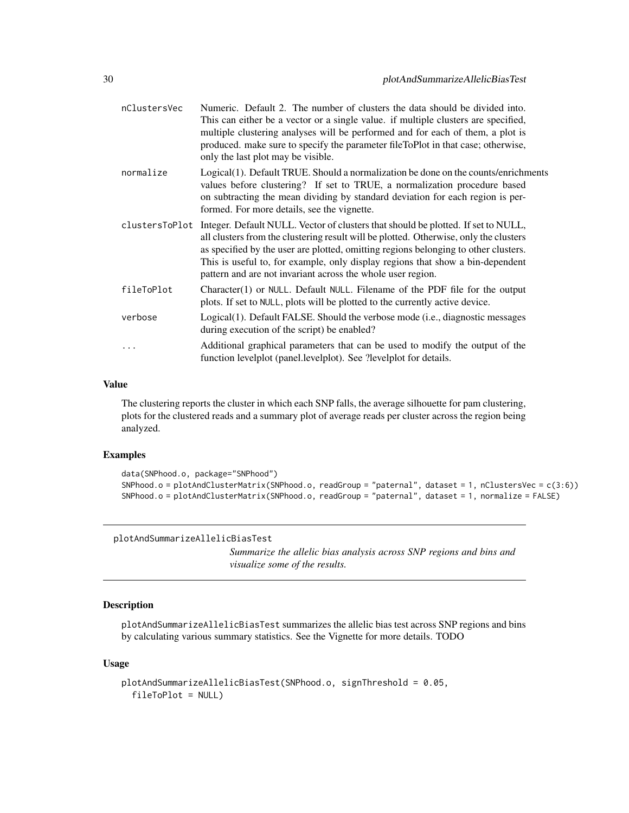<span id="page-29-0"></span>

| nClustersVec | Numeric. Default 2. The number of clusters the data should be divided into.<br>This can either be a vector or a single value. if multiple clusters are specified,<br>multiple clustering analyses will be performed and for each of them, a plot is<br>produced. make sure to specify the parameter fileToPlot in that case; otherwise,<br>only the last plot may be visible.                                                     |
|--------------|-----------------------------------------------------------------------------------------------------------------------------------------------------------------------------------------------------------------------------------------------------------------------------------------------------------------------------------------------------------------------------------------------------------------------------------|
| normalize    | Logical(1). Default TRUE. Should a normalization be done on the counts/enrichments<br>values before clustering? If set to TRUE, a normalization procedure based<br>on subtracting the mean dividing by standard deviation for each region is per-<br>formed. For more details, see the vignette.                                                                                                                                  |
|              | clustersToPlot Integer. Default NULL. Vector of clusters that should be plotted. If set to NULL,<br>all clusters from the clustering result will be plotted. Otherwise, only the clusters<br>as specified by the user are plotted, omitting regions belonging to other clusters.<br>This is useful to, for example, only display regions that show a bin-dependent<br>pattern and are not invariant across the whole user region. |
| fileToPlot   | Character(1) or NULL. Default NULL. Filename of the PDF file for the output<br>plots. If set to NULL, plots will be plotted to the currently active device.                                                                                                                                                                                                                                                                       |
| verbose      | Logical(1). Default FALSE. Should the verbose mode (i.e., diagnostic messages<br>during execution of the script) be enabled?                                                                                                                                                                                                                                                                                                      |
| .            | Additional graphical parameters that can be used to modify the output of the<br>function levelplot (panel.levelplot). See ?levelplot for details.                                                                                                                                                                                                                                                                                 |
|              |                                                                                                                                                                                                                                                                                                                                                                                                                                   |

The clustering reports the cluster in which each SNP falls, the average silhouette for pam clustering, plots for the clustered reads and a summary plot of average reads per cluster across the region being analyzed.

# Examples

```
data(SNPhood.o, package="SNPhood")
SNPhood.o = plotAndClusterMatrix(SNPhood.o, readGroup = "paternal", dataset = 1, nClustersVec = c(3:6))
SNPhood.o = plotAndClusterMatrix(SNPhood.o, readGroup = "paternal", dataset = 1, normalize = FALSE)
```
plotAndSummarizeAllelicBiasTest

*Summarize the allelic bias analysis across SNP regions and bins and visualize some of the results.*

# Description

plotAndSummarizeAllelicBiasTest summarizes the allelic bias test across SNP regions and bins by calculating various summary statistics. See the Vignette for more details. TODO

#### Usage

```
plotAndSummarizeAllelicBiasTest(SNPhood.o, signThreshold = 0.05,
 fileToPlot = NULL)
```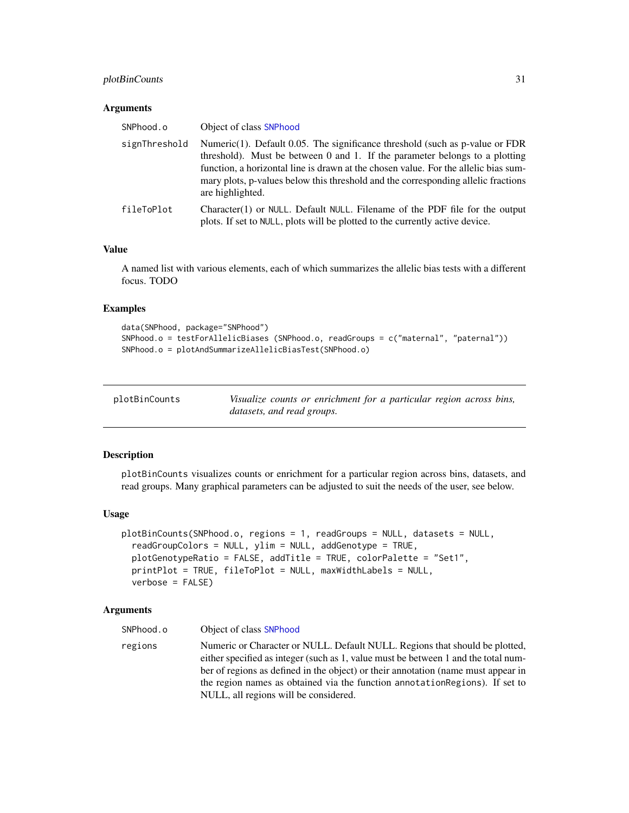# <span id="page-30-0"></span>plotBinCounts 31

#### Arguments

| SNPhood.o     | Object of class SNPhood                                                                                                                                                                                                                                                                                                                                         |
|---------------|-----------------------------------------------------------------------------------------------------------------------------------------------------------------------------------------------------------------------------------------------------------------------------------------------------------------------------------------------------------------|
| signThreshold | Numeric $(1)$ . Default 0.05. The significance threshold (such as p-value or FDR<br>threshold). Must be between 0 and 1. If the parameter belongs to a plotting<br>function, a horizontal line is drawn at the chosen value. For the allelic bias sum-<br>mary plots, p-values below this threshold and the corresponding allelic fractions<br>are highlighted. |
| fileToPlot    | Character(1) or NULL. Default NULL. Filename of the PDF file for the output<br>plots. If set to NULL, plots will be plotted to the currently active device.                                                                                                                                                                                                     |

# Value

A named list with various elements, each of which summarizes the allelic bias tests with a different focus. TODO

#### Examples

```
data(SNPhood, package="SNPhood")
SNPhood.o = testForAllelicBiases (SNPhood.o, readGroups = c("maternal", "paternal"))
SNPhood.o = plotAndSummarizeAllelicBiasTest(SNPhood.o)
```
<span id="page-30-1"></span>

| plotBinCounts | Visualize counts or enrichment for a particular region across bins, |
|---------------|---------------------------------------------------------------------|
|               | datasets, and read groups.                                          |

#### Description

plotBinCounts visualizes counts or enrichment for a particular region across bins, datasets, and read groups. Many graphical parameters can be adjusted to suit the needs of the user, see below.

#### Usage

```
plotBinCounts(SNPhood.o, regions = 1, readGroups = NULL, datasets = NULL,
  readGroupColors = NULL, ylim = NULL, addGenotype = TRUE,
  plotGenotypeRatio = FALSE, addTitle = TRUE, colorPalette = "Set1",
  printPlot = TRUE, fileToPlot = NULL, maxWidthLabels = NULL,
  verbose = FALSE)
```

| SNPhood.o | Object of class SNPhood                                                                                                                                                                                                                                |
|-----------|--------------------------------------------------------------------------------------------------------------------------------------------------------------------------------------------------------------------------------------------------------|
| regions   | Numeric or Character or NULL. Default NULL. Regions that should be plotted,<br>either specified as integer (such as 1, value must be between 1 and the total num-<br>ber of regions as defined in the object) or their annotation (name must appear in |
|           | the region names as obtained via the function annotation Regions). If set to                                                                                                                                                                           |
|           | NULL, all regions will be considered.                                                                                                                                                                                                                  |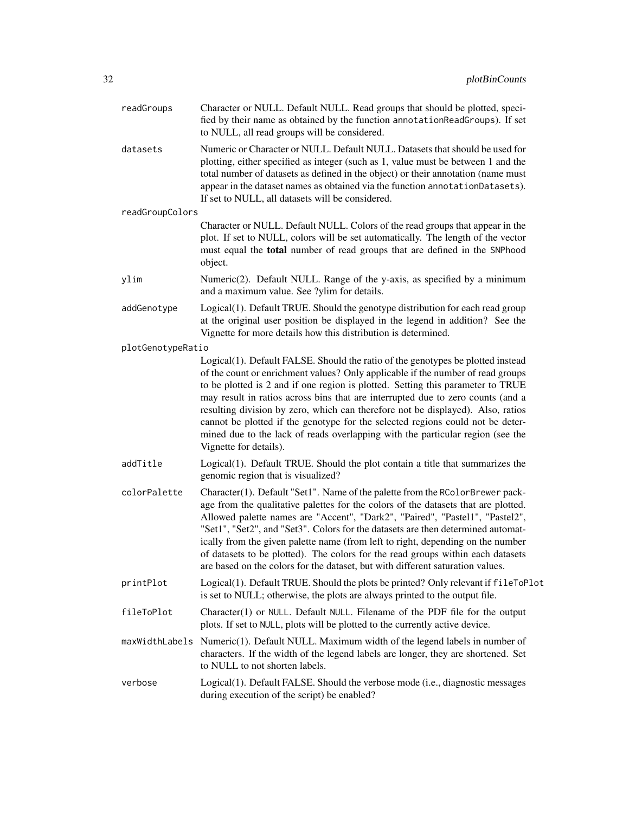| readGroups        | Character or NULL. Default NULL. Read groups that should be plotted, speci-<br>fied by their name as obtained by the function annotationReadGroups). If set<br>to NULL, all read groups will be considered.                                                                                                                                                                                                                                                                                                                                                                                                               |
|-------------------|---------------------------------------------------------------------------------------------------------------------------------------------------------------------------------------------------------------------------------------------------------------------------------------------------------------------------------------------------------------------------------------------------------------------------------------------------------------------------------------------------------------------------------------------------------------------------------------------------------------------------|
| datasets          | Numeric or Character or NULL. Default NULL. Datasets that should be used for<br>plotting, either specified as integer (such as 1, value must be between 1 and the<br>total number of datasets as defined in the object) or their annotation (name must<br>appear in the dataset names as obtained via the function annotationDatasets).<br>If set to NULL, all datasets will be considered.                                                                                                                                                                                                                               |
| readGroupColors   |                                                                                                                                                                                                                                                                                                                                                                                                                                                                                                                                                                                                                           |
|                   | Character or NULL. Default NULL. Colors of the read groups that appear in the<br>plot. If set to NULL, colors will be set automatically. The length of the vector<br>must equal the total number of read groups that are defined in the SNPhood<br>object.                                                                                                                                                                                                                                                                                                                                                                |
| ylim              | Numeric(2). Default NULL. Range of the y-axis, as specified by a minimum<br>and a maximum value. See ?ylim for details.                                                                                                                                                                                                                                                                                                                                                                                                                                                                                                   |
| addGenotype       | Logical(1). Default TRUE. Should the genotype distribution for each read group<br>at the original user position be displayed in the legend in addition? See the<br>Vignette for more details how this distribution is determined.                                                                                                                                                                                                                                                                                                                                                                                         |
| plotGenotypeRatio |                                                                                                                                                                                                                                                                                                                                                                                                                                                                                                                                                                                                                           |
|                   | Logical(1). Default FALSE. Should the ratio of the genotypes be plotted instead<br>of the count or enrichment values? Only applicable if the number of read groups<br>to be plotted is 2 and if one region is plotted. Setting this parameter to TRUE<br>may result in ratios across bins that are interrupted due to zero counts (and a<br>resulting division by zero, which can therefore not be displayed). Also, ratios<br>cannot be plotted if the genotype for the selected regions could not be deter-<br>mined due to the lack of reads overlapping with the particular region (see the<br>Vignette for details). |
| addTitle          | Logical(1). Default TRUE. Should the plot contain a title that summarizes the<br>genomic region that is visualized?                                                                                                                                                                                                                                                                                                                                                                                                                                                                                                       |
| colorPalette      | Character(1). Default "Set1". Name of the palette from the RColorBrewer pack-<br>age from the qualitative palettes for the colors of the datasets that are plotted.<br>Allowed palette names are "Accent", "Dark2", "Paired", "Pastel1", "Pastel2",<br>"Set1", "Set2", and "Set3". Colors for the datasets are then determined automat-<br>ically from the given palette name (from left to right, depending on the number<br>of datasets to be plotted). The colors for the read groups within each datasets<br>are based on the colors for the dataset, but with different saturation values.                           |
| printPlot         | Logical(1). Default TRUE. Should the plots be printed? Only relevant if fileToPlot<br>is set to NULL; otherwise, the plots are always printed to the output file.                                                                                                                                                                                                                                                                                                                                                                                                                                                         |
| fileToPlot        | Character(1) or NULL. Default NULL. Filename of the PDF file for the output<br>plots. If set to NULL, plots will be plotted to the currently active device.                                                                                                                                                                                                                                                                                                                                                                                                                                                               |
|                   | maxWidthLabels Numeric(1). Default NULL. Maximum width of the legend labels in number of<br>characters. If the width of the legend labels are longer, they are shortened. Set<br>to NULL to not shorten labels.                                                                                                                                                                                                                                                                                                                                                                                                           |
| verbose           | Logical(1). Default FALSE. Should the verbose mode (i.e., diagnostic messages<br>during execution of the script) be enabled?                                                                                                                                                                                                                                                                                                                                                                                                                                                                                              |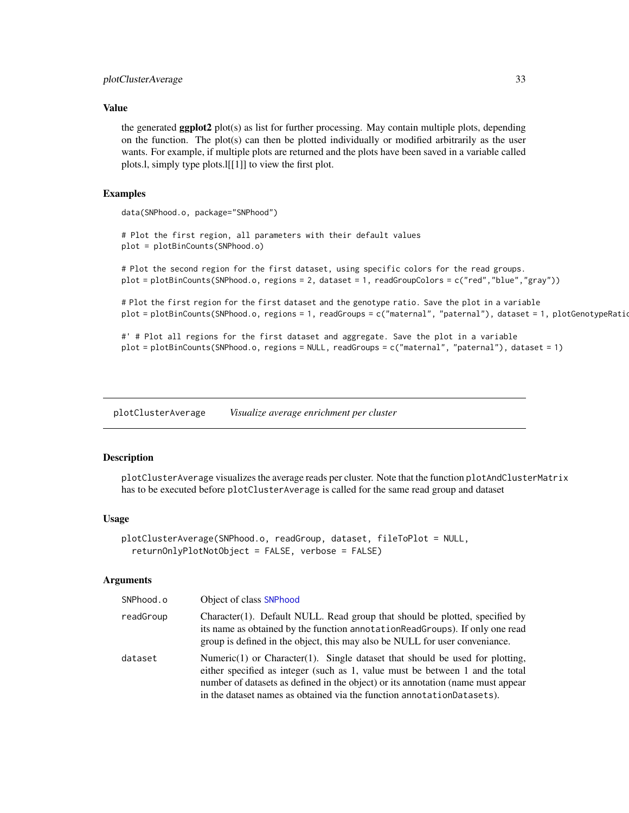<span id="page-32-0"></span>the generated **ggplot2** plot(s) as list for further processing. May contain multiple plots, depending on the function. The plot(s) can then be plotted individually or modified arbitrarily as the user wants. For example, if multiple plots are returned and the plots have been saved in a variable called plots.l, simply type plots.l[[1]] to view the first plot.

#### Examples

data(SNPhood.o, package="SNPhood")

# Plot the first region, all parameters with their default values plot = plotBinCounts(SNPhood.o)

# Plot the second region for the first dataset, using specific colors for the read groups. plot = plotBinCounts(SNPhood.o, regions = 2, dataset = 1, readGroupColors = c("red","blue","gray"))

# Plot the first region for the first dataset and the genotype ratio. Save the plot in a variable plot = plotBinCounts(SNPhood.o, regions = 1, readGroups = c("maternal", "paternal"), dataset = 1, plotGenotypeRatio

#' # Plot all regions for the first dataset and aggregate. Save the plot in a variable plot = plotBinCounts(SNPhood.o, regions = NULL, readGroups = c("maternal", "paternal"), dataset = 1)

<span id="page-32-1"></span>plotClusterAverage *Visualize average enrichment per cluster*

#### **Description**

plotClusterAverage visualizes the average reads per cluster. Note that the function plotAndClusterMatrix has to be executed before plotClusterAverage is called for the same read group and dataset

#### Usage

```
plotClusterAverage(SNPhood.o, readGroup, dataset, fileToPlot = NULL,
  returnOnlyPlotNotObject = FALSE, verbose = FALSE)
```

| SNPhood.o | Object of class SNPhood                                                                                                                                                                                                                                                                                                      |
|-----------|------------------------------------------------------------------------------------------------------------------------------------------------------------------------------------------------------------------------------------------------------------------------------------------------------------------------------|
| readGroup | Character(1). Default NULL. Read group that should be plotted, specified by<br>its name as obtained by the function annotation ReadGroups). If only one read<br>group is defined in the object, this may also be NULL for user conveniance.                                                                                  |
| dataset   | Numeric(1) or Character(1). Single dataset that should be used for plotting,<br>either specified as integer (such as 1, value must be between 1 and the total<br>number of datasets as defined in the object) or its annotation (name must appear<br>in the dataset names as obtained via the function annotation Datasets). |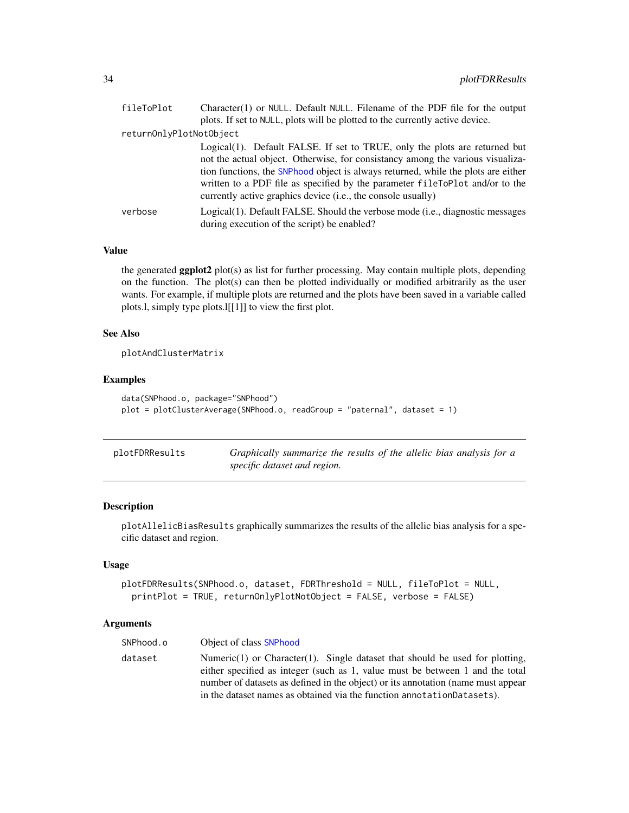<span id="page-33-0"></span>

| fileToPlot              | Character(1) or NULL. Default NULL. Filename of the PDF file for the output            |
|-------------------------|----------------------------------------------------------------------------------------|
|                         | plots. If set to NULL, plots will be plotted to the currently active device.           |
| returnOnlyPlotNotObject |                                                                                        |
|                         | Logical(1). Default FALSE. If set to TRUE, only the plots are returned but             |
|                         | not the actual object. Otherwise, for consistancy among the various visualiza-         |
|                         | tion functions, the SNPhood object is always returned, while the plots are either      |
|                         | written to a PDF file as specified by the parameter fileToPlot and/or to the           |
|                         | currently active graphics device (i.e., the console usually)                           |
| verbose                 | Logical(1). Default FALSE. Should the verbose mode ( <i>i.e.</i> , diagnostic messages |
|                         | during execution of the script) be enabled?                                            |

the generated ggplot2 plot(s) as list for further processing. May contain multiple plots, depending on the function. The plot(s) can then be plotted individually or modified arbitrarily as the user wants. For example, if multiple plots are returned and the plots have been saved in a variable called plots.l, simply type plots.l[[1]] to view the first plot.

# See Also

plotAndClusterMatrix

# Examples

```
data(SNPhood.o, package="SNPhood")
plot = plotClusterAverage(SNPhood.o, readGroup = "paternal", dataset = 1)
```

| plotFDRResults | Graphically summarize the results of the allelic bias analysis for a |
|----------------|----------------------------------------------------------------------|
|                | specific dataset and region.                                         |

# Description

plotAllelicBiasResults graphically summarizes the results of the allelic bias analysis for a specific dataset and region.

# Usage

```
plotFDRResults(SNPhood.o, dataset, FDRThreshold = NULL, fileToPlot = NULL,
 printPlot = TRUE, returnOnlyPlotNotObject = FALSE, verbose = FALSE)
```

| SNPhood.o | Object of class SNPhood                                                                                                                                                                                                                                                                                                      |
|-----------|------------------------------------------------------------------------------------------------------------------------------------------------------------------------------------------------------------------------------------------------------------------------------------------------------------------------------|
| dataset   | Numeric(1) or Character(1). Single dataset that should be used for plotting,<br>either specified as integer (such as 1, value must be between 1 and the total<br>number of datasets as defined in the object) or its annotation (name must appear<br>in the dataset names as obtained via the function annotation Datasets). |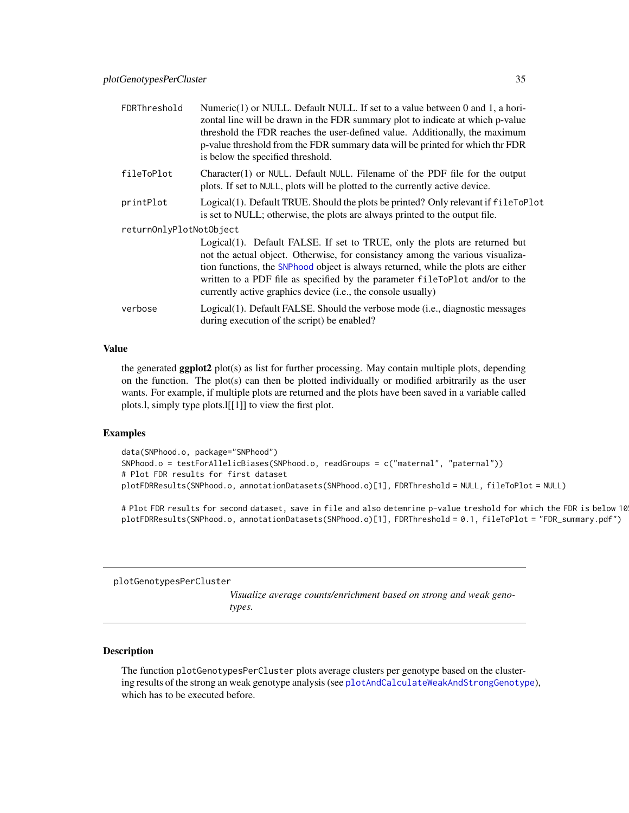<span id="page-34-0"></span>

| FDRThreshold            | Numeric(1) or NULL. Default NULL. If set to a value between 0 and 1, a hori-<br>zontal line will be drawn in the FDR summary plot to indicate at which p-value<br>threshold the FDR reaches the user-defined value. Additionally, the maximum<br>p-value threshold from the FDR summary data will be printed for which thr FDR<br>is below the specified threshold.                               |
|-------------------------|---------------------------------------------------------------------------------------------------------------------------------------------------------------------------------------------------------------------------------------------------------------------------------------------------------------------------------------------------------------------------------------------------|
| fileToPlot              | Character(1) or NULL. Default NULL. Filename of the PDF file for the output<br>plots. If set to NULL, plots will be plotted to the currently active device.                                                                                                                                                                                                                                       |
| printPlot               | Logical(1). Default TRUE. Should the plots be printed? Only relevant if fileToPlot<br>is set to NULL; otherwise, the plots are always printed to the output file.                                                                                                                                                                                                                                 |
| returnOnlyPlotNotObject |                                                                                                                                                                                                                                                                                                                                                                                                   |
|                         | Logical(1). Default FALSE. If set to TRUE, only the plots are returned but<br>not the actual object. Otherwise, for consistancy among the various visualiza-<br>tion functions, the SNPhood object is always returned, while the plots are either<br>written to a PDF file as specified by the parameter fileToPlot and/or to the<br>currently active graphics device (i.e., the console usually) |
| verbose                 | Logical(1). Default FALSE. Should the verbose mode (i.e., diagnostic messages<br>during execution of the script) be enabled?                                                                                                                                                                                                                                                                      |

the generated ggplot2 plot(s) as list for further processing. May contain multiple plots, depending on the function. The plot(s) can then be plotted individually or modified arbitrarily as the user wants. For example, if multiple plots are returned and the plots have been saved in a variable called plots.l, simply type plots.l[[1]] to view the first plot.

#### Examples

```
data(SNPhood.o, package="SNPhood")
SNPhood.o = testForAllelicBiases(SNPhood.o, readGroups = c("maternal", "paternal"))
# Plot FDR results for first dataset
plotFDRResults(SNPhood.o, annotationDatasets(SNPhood.o)[1], FDRThreshold = NULL, fileToPlot = NULL)
```
# Plot FDR results for second dataset, save in file and also detemrine p-value treshold for which the FDR is below 10 plotFDRResults(SNPhood.o, annotationDatasets(SNPhood.o)[1], FDRThreshold = 0.1, fileToPlot = "FDR\_summary.pdf")

<span id="page-34-1"></span>plotGenotypesPerCluster

*Visualize average counts/enrichment based on strong and weak genotypes.*

# Description

The function plotGenotypesPerCluster plots average clusters per genotype based on the clustering results of the strong an weak genotype analysis (see [plotAndCalculateWeakAndStrongGenotype](#page-27-1)), which has to be executed before.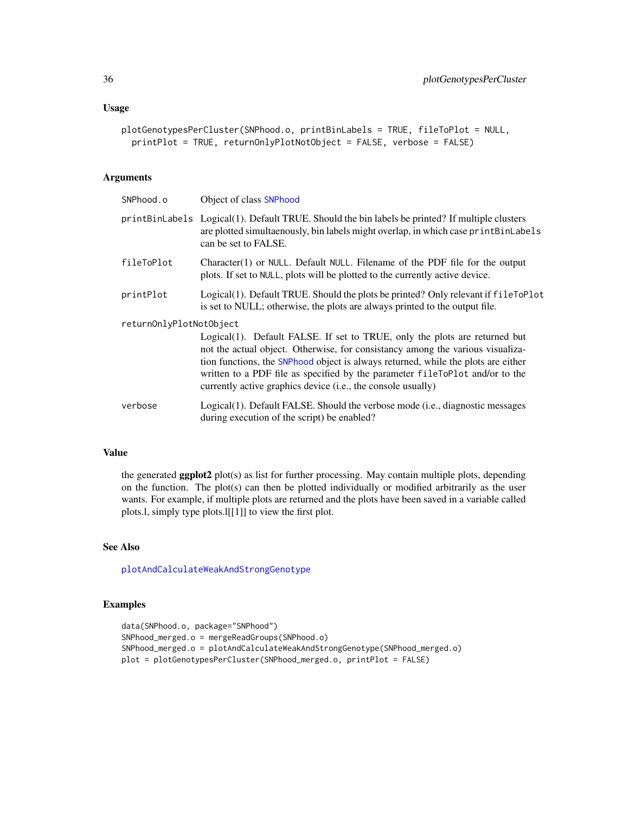```
plotGenotypesPerCluster(SNPhood.o, printBinLabels = TRUE, fileToPlot = NULL,
 printPlot = TRUE, returnOnlyPlotNotObject = FALSE, verbose = FALSE)
```
#### Arguments

| SNPhood.o               | Object of class SNPhood                                                                                                                                                                                                                                                                                                                                                                           |
|-------------------------|---------------------------------------------------------------------------------------------------------------------------------------------------------------------------------------------------------------------------------------------------------------------------------------------------------------------------------------------------------------------------------------------------|
|                         | printBinLabels Logical(1). Default TRUE. Should the bin labels be printed? If multiple clusters<br>are plotted simultaenously, bin labels might overlap, in which case printBinLabels<br>can be set to FALSE.                                                                                                                                                                                     |
| fileToPlot              | Character(1) or NULL. Default NULL. Filename of the PDF file for the output<br>plots. If set to NULL, plots will be plotted to the currently active device.                                                                                                                                                                                                                                       |
| printPlot               | Logical(1). Default TRUE. Should the plots be printed? Only relevant if fileToPlot<br>is set to NULL; otherwise, the plots are always printed to the output file.                                                                                                                                                                                                                                 |
| returnOnlyPlotNotObject | Logical(1). Default FALSE. If set to TRUE, only the plots are returned but<br>not the actual object. Otherwise, for consistancy among the various visualiza-<br>tion functions, the SNPhood object is always returned, while the plots are either<br>written to a PDF file as specified by the parameter fileToPlot and/or to the<br>currently active graphics device (i.e., the console usually) |
| verbose                 | Logical(1). Default FALSE. Should the verbose mode (i.e., diagnostic messages<br>during execution of the script) be enabled?                                                                                                                                                                                                                                                                      |

# Value

the generated ggplot2 plot(s) as list for further processing. May contain multiple plots, depending on the function. The plot(s) can then be plotted individually or modified arbitrarily as the user wants. For example, if multiple plots are returned and the plots have been saved in a variable called plots.l, simply type plots.l[[1]] to view the first plot.

# See Also

[plotAndCalculateWeakAndStrongGenotype](#page-27-1)

```
data(SNPhood.o, package="SNPhood")
SNPhood_merged.o = mergeReadGroups(SNPhood.o)
SNPhood_merged.o = plotAndCalculateWeakAndStrongGenotype(SNPhood_merged.o)
plot = plotGenotypesPerCluster(SNPhood_merged.o, printPlot = FALSE)
```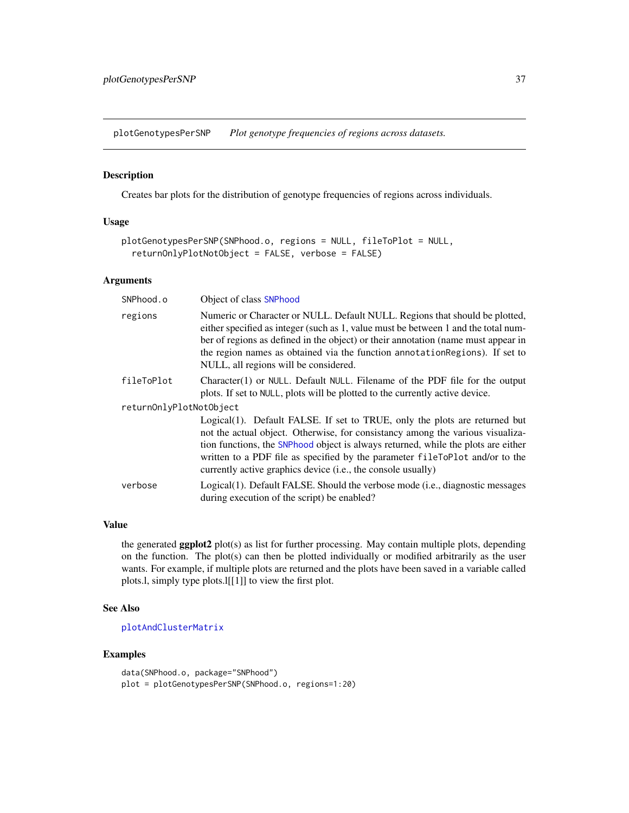<span id="page-36-1"></span><span id="page-36-0"></span>plotGenotypesPerSNP *Plot genotype frequencies of regions across datasets.*

# Description

Creates bar plots for the distribution of genotype frequencies of regions across individuals.

#### Usage

```
plotGenotypesPerSNP(SNPhood.o, regions = NULL, fileToPlot = NULL,
  returnOnlyPlotNotObject = FALSE, verbose = FALSE)
```
#### Arguments

| SNPhood.o               | Object of class SNPhood                                                                                                                                                                                                                                                                                                                                                                           |  |
|-------------------------|---------------------------------------------------------------------------------------------------------------------------------------------------------------------------------------------------------------------------------------------------------------------------------------------------------------------------------------------------------------------------------------------------|--|
| regions                 | Numeric or Character or NULL. Default NULL. Regions that should be plotted,<br>either specified as integer (such as 1, value must be between 1 and the total num-<br>ber of regions as defined in the object) or their annotation (name must appear in<br>the region names as obtained via the function annotation Regions). If set to<br>NULL, all regions will be considered.                   |  |
| fileToPlot              | Character(1) or NULL. Default NULL. Filename of the PDF file for the output<br>plots. If set to NULL, plots will be plotted to the currently active device.                                                                                                                                                                                                                                       |  |
| returnOnlyPlotNotObject |                                                                                                                                                                                                                                                                                                                                                                                                   |  |
|                         | Logical(1). Default FALSE. If set to TRUE, only the plots are returned but<br>not the actual object. Otherwise, for consistancy among the various visualiza-<br>tion functions, the SNPhood object is always returned, while the plots are either<br>written to a PDF file as specified by the parameter fileToPlot and/or to the<br>currently active graphics device (i.e., the console usually) |  |
| verbose                 | Logical(1). Default FALSE. Should the verbose mode (i.e., diagnostic messages<br>during execution of the script) be enabled?                                                                                                                                                                                                                                                                      |  |

# Value

the generated **ggplot2** plot(s) as list for further processing. May contain multiple plots, depending on the function. The plot(s) can then be plotted individually or modified arbitrarily as the user wants. For example, if multiple plots are returned and the plots have been saved in a variable called plots.l, simply type plots.l[[1]] to view the first plot.

#### See Also

[plotAndClusterMatrix](#page-28-1)

```
data(SNPhood.o, package="SNPhood")
plot = plotGenotypesPerSNP(SNPhood.o, regions=1:20)
```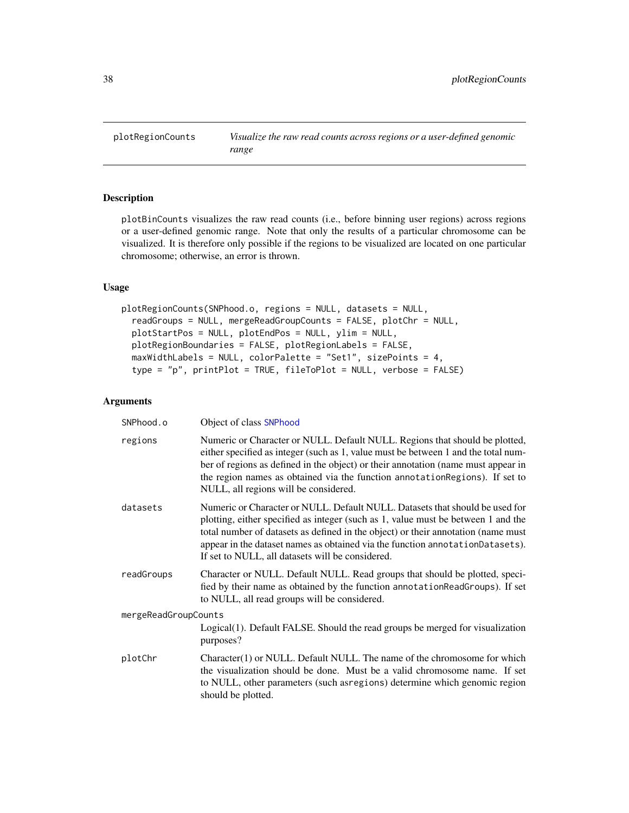<span id="page-37-1"></span><span id="page-37-0"></span>

# Description

plotBinCounts visualizes the raw read counts (i.e., before binning user regions) across regions or a user-defined genomic range. Note that only the results of a particular chromosome can be visualized. It is therefore only possible if the regions to be visualized are located on one particular chromosome; otherwise, an error is thrown.

# Usage

```
plotRegionCounts(SNPhood.o, regions = NULL, datasets = NULL,
  readGroups = NULL, mergeReadGroupCounts = FALSE, plotChr = NULL,
  plotStartPos = NULL, plotEndPos = NULL, ylim = NULL,
 plotRegionBoundaries = FALSE, plotRegionLabels = FALSE,
 maxWidthLabels = NULL, colorPalette = "Set1", sizePoints = 4,
  type = "p", printPlot = TRUE, fileToPlot = NULL, verbose = FALSE)
```

| SNPhood.o            | Object of class SNPhood                                                                                                                                                                                                                                                                                                                                                                     |
|----------------------|---------------------------------------------------------------------------------------------------------------------------------------------------------------------------------------------------------------------------------------------------------------------------------------------------------------------------------------------------------------------------------------------|
| regions              | Numeric or Character or NULL. Default NULL. Regions that should be plotted,<br>either specified as integer (such as 1, value must be between 1 and the total num-<br>ber of regions as defined in the object) or their annotation (name must appear in<br>the region names as obtained via the function annotation Regions). If set to<br>NULL, all regions will be considered.             |
| datasets             | Numeric or Character or NULL. Default NULL. Datasets that should be used for<br>plotting, either specified as integer (such as 1, value must be between 1 and the<br>total number of datasets as defined in the object) or their annotation (name must<br>appear in the dataset names as obtained via the function annotationDatasets).<br>If set to NULL, all datasets will be considered. |
| readGroups           | Character or NULL. Default NULL. Read groups that should be plotted, speci-<br>fied by their name as obtained by the function annotation ReadGroups). If set<br>to NULL, all read groups will be considered.                                                                                                                                                                                |
| mergeReadGroupCounts |                                                                                                                                                                                                                                                                                                                                                                                             |
|                      | Logical(1). Default FALSE. Should the read groups be merged for visualization<br>purposes?                                                                                                                                                                                                                                                                                                  |
| plotChr              | Character(1) or NULL. Default NULL. The name of the chromosome for which<br>the visualization should be done. Must be a valid chromosome name. If set<br>to NULL, other parameters (such as regions) determine which genomic region<br>should be plotted.                                                                                                                                   |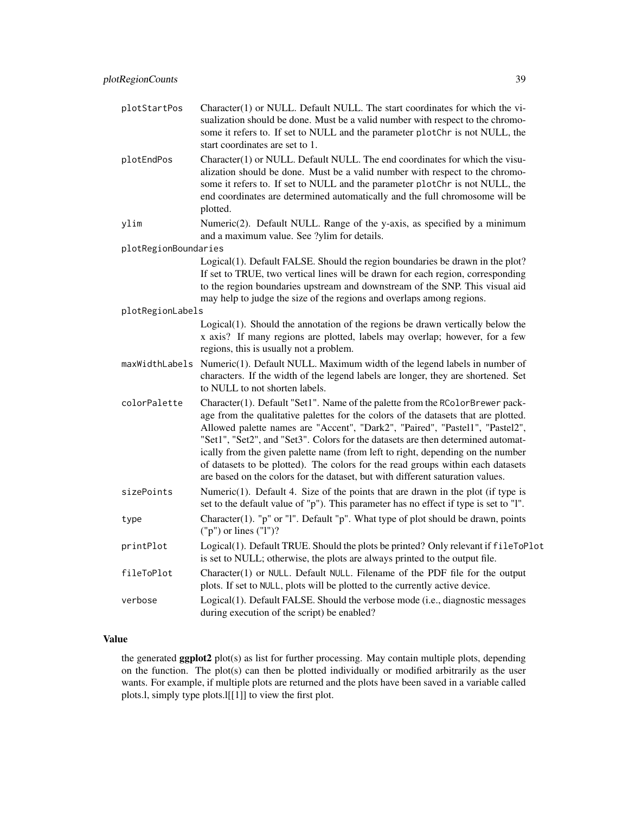| plotStartPos         | Character(1) or NULL. Default NULL. The start coordinates for which the vi-<br>sualization should be done. Must be a valid number with respect to the chromo-<br>some it refers to. If set to NULL and the parameter plotChr is not NULL, the<br>start coordinates are set to 1.                                                                                                                                                                                                                                                                                                                |
|----------------------|-------------------------------------------------------------------------------------------------------------------------------------------------------------------------------------------------------------------------------------------------------------------------------------------------------------------------------------------------------------------------------------------------------------------------------------------------------------------------------------------------------------------------------------------------------------------------------------------------|
| plotEndPos           | Character(1) or NULL. Default NULL. The end coordinates for which the visu-<br>alization should be done. Must be a valid number with respect to the chromo-<br>some it refers to. If set to NULL and the parameter plotChr is not NULL, the<br>end coordinates are determined automatically and the full chromosome will be<br>plotted.                                                                                                                                                                                                                                                         |
| ylim                 | Numeric(2). Default NULL. Range of the y-axis, as specified by a minimum<br>and a maximum value. See ?ylim for details.                                                                                                                                                                                                                                                                                                                                                                                                                                                                         |
| plotRegionBoundaries |                                                                                                                                                                                                                                                                                                                                                                                                                                                                                                                                                                                                 |
|                      | Logical(1). Default FALSE. Should the region boundaries be drawn in the plot?<br>If set to TRUE, two vertical lines will be drawn for each region, corresponding<br>to the region boundaries upstream and downstream of the SNP. This visual aid<br>may help to judge the size of the regions and overlaps among regions.                                                                                                                                                                                                                                                                       |
| plotRegionLabels     |                                                                                                                                                                                                                                                                                                                                                                                                                                                                                                                                                                                                 |
|                      | $Logical(1)$ . Should the annotation of the regions be drawn vertically below the<br>x axis? If many regions are plotted, labels may overlap; however, for a few<br>regions, this is usually not a problem.                                                                                                                                                                                                                                                                                                                                                                                     |
|                      | maxWidthLabels Numeric(1). Default NULL. Maximum width of the legend labels in number of<br>characters. If the width of the legend labels are longer, they are shortened. Set<br>to NULL to not shorten labels.                                                                                                                                                                                                                                                                                                                                                                                 |
| colorPalette         | Character(1). Default "Set1". Name of the palette from the RColorBrewer pack-<br>age from the qualitative palettes for the colors of the datasets that are plotted.<br>Allowed palette names are "Accent", "Dark2", "Paired", "Pastel1", "Pastel2",<br>"Set1", "Set2", and "Set3". Colors for the datasets are then determined automat-<br>ically from the given palette name (from left to right, depending on the number<br>of datasets to be plotted). The colors for the read groups within each datasets<br>are based on the colors for the dataset, but with different saturation values. |
| sizePoints           | Numeric $(1)$ . Default 4. Size of the points that are drawn in the plot (if type is<br>set to the default value of "p"). This parameter has no effect if type is set to "l".                                                                                                                                                                                                                                                                                                                                                                                                                   |
| type                 | Character(1). " $p$ " or "1". Default " $p$ ". What type of plot should be drawn, points<br>$("p")$ or lines $("l")$ ?                                                                                                                                                                                                                                                                                                                                                                                                                                                                          |
| printPlot            | Logical(1). Default TRUE. Should the plots be printed? Only relevant if fileToPlot<br>is set to NULL; otherwise, the plots are always printed to the output file.                                                                                                                                                                                                                                                                                                                                                                                                                               |
| fileToPlot           | Character(1) or NULL. Default NULL. Filename of the PDF file for the output<br>plots. If set to NULL, plots will be plotted to the currently active device.                                                                                                                                                                                                                                                                                                                                                                                                                                     |
| verbose              | Logical(1). Default FALSE. Should the verbose mode (i.e., diagnostic messages<br>during execution of the script) be enabled?                                                                                                                                                                                                                                                                                                                                                                                                                                                                    |

the generated ggplot2 plot(s) as list for further processing. May contain multiple plots, depending on the function. The plot(s) can then be plotted individually or modified arbitrarily as the user wants. For example, if multiple plots are returned and the plots have been saved in a variable called plots.l, simply type plots.l[[1]] to view the first plot.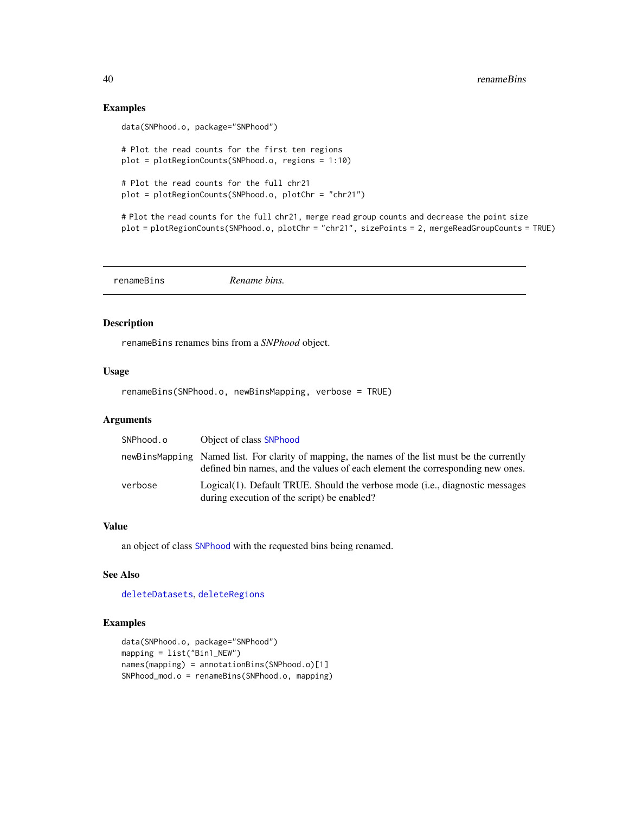#### Examples

```
data(SNPhood.o, package="SNPhood")
# Plot the read counts for the first ten regions
plot = plotRegionCounts(SNPhood.o, regions = 1:10)
# Plot the read counts for the full chr21
plot = plotRegionCounts(SNPhood.o, plotChr = "chr21")
# Plot the read counts for the full chr21, merge read group counts and decrease the point size
plot = plotRegionCounts(SNPhood.o, plotChr = "chr21", sizePoints = 2, mergeReadGroupCounts = TRUE)
```
<span id="page-39-1"></span>renameBins *Rename bins.*

# Description

renameBins renames bins from a *SNPhood* object.

# Usage

renameBins(SNPhood.o, newBinsMapping, verbose = TRUE)

#### Arguments

| SNPhood.o | Object of class SNPhood                                                                                                                                                         |
|-----------|---------------------------------------------------------------------------------------------------------------------------------------------------------------------------------|
|           | newBinsMapping Named list. For clarity of mapping, the names of the list must be the currently<br>defined bin names, and the values of each element the corresponding new ones. |
| verbose   | Logical(1). Default TRUE. Should the verbose mode (i.e., diagnostic messages<br>during execution of the script) be enabled?                                                     |

# Value

an object of class [SNPhood](#page-43-2) with the requested bins being renamed.

# See Also

[deleteDatasets](#page-13-1), [deleteRegions](#page-14-2)

```
data(SNPhood.o, package="SNPhood")
mapping = list("Bin1_NEW")
names(mapping) = annotationBins(SNPhood.o)[1]
SNPhood_mod.o = renameBins(SNPhood.o, mapping)
```
<span id="page-39-0"></span>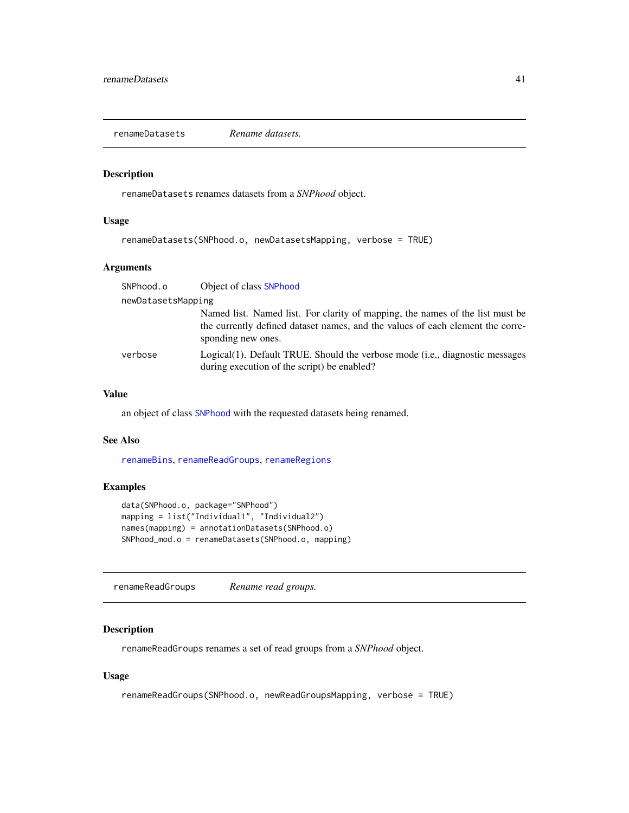<span id="page-40-2"></span><span id="page-40-0"></span>renameDatasets *Rename datasets.*

# Description

renameDatasets renames datasets from a *SNPhood* object.

# Usage

```
renameDatasets(SNPhood.o, newDatasetsMapping, verbose = TRUE)
```
# Arguments

| SNPhood.o          | Object of class SNPhood                                                                                                                                                               |
|--------------------|---------------------------------------------------------------------------------------------------------------------------------------------------------------------------------------|
| newDatasetsMapping |                                                                                                                                                                                       |
|                    | Named list. Named list. For clarity of mapping, the names of the list must be<br>the currently defined dataset names, and the values of each element the corre-<br>sponding new ones. |
| verbose            | Logical(1). Default TRUE. Should the verbose mode (i.e., diagnostic messages<br>during execution of the script) be enabled?                                                           |

# Value

an object of class [SNPhood](#page-43-2) with the requested datasets being renamed.

# See Also

[renameBins](#page-39-1), [renameReadGroups](#page-40-1), [renameRegions](#page-41-1)

# Examples

```
data(SNPhood.o, package="SNPhood")
mapping = list("Individual1", "Individual2")
names(mapping) = annotationDatasets(SNPhood.o)
SNPhood_mod.o = renameDatasets(SNPhood.o, mapping)
```
<span id="page-40-1"></span>renameReadGroups *Rename read groups.*

# Description

renameReadGroups renames a set of read groups from a *SNPhood* object.

# Usage

```
renameReadGroups(SNPhood.o, newReadGroupsMapping, verbose = TRUE)
```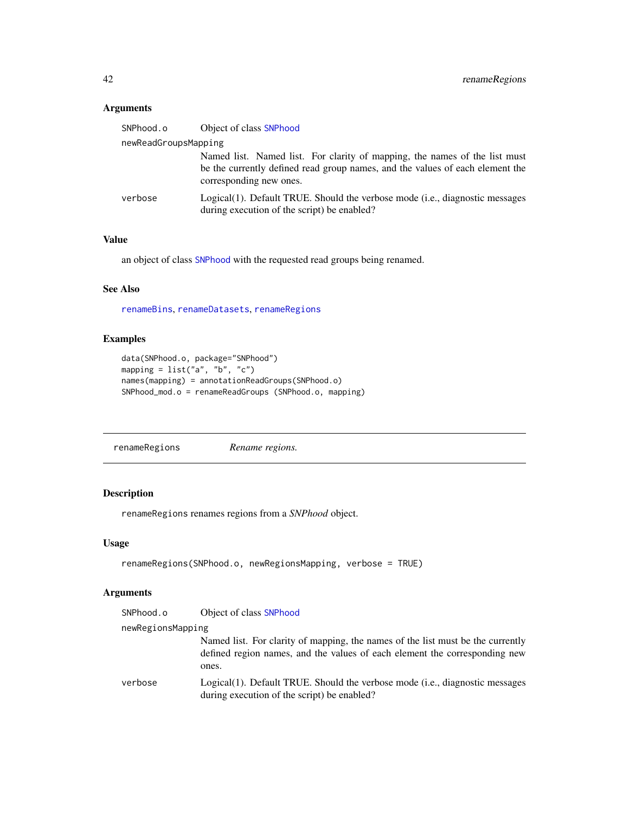# <span id="page-41-0"></span>Arguments

|                      | SNPhood.o | Object of class SNPhood                                                                                                                                                                |
|----------------------|-----------|----------------------------------------------------------------------------------------------------------------------------------------------------------------------------------------|
| newReadGroupsMapping |           |                                                                                                                                                                                        |
|                      |           | Named list. Named list. For clarity of mapping, the names of the list must<br>be the currently defined read group names, and the values of each element the<br>corresponding new ones. |
|                      | verbose   | Logical(1). Default TRUE. Should the verbose mode (i.e., diagnostic messages<br>during execution of the script) be enabled?                                                            |

# Value

an object of class [SNPhood](#page-43-2) with the requested read groups being renamed.

# See Also

[renameBins](#page-39-1), [renameDatasets](#page-40-2), [renameRegions](#page-41-1)

# Examples

```
data(SNPhood.o, package="SNPhood")
mapping = list("a", "b", "c")names(mapping) = annotationReadGroups(SNPhood.o)
SNPhood_mod.o = renameReadGroups (SNPhood.o, mapping)
```
<span id="page-41-1"></span>renameRegions *Rename regions.*

# Description

renameRegions renames regions from a *SNPhood* object.

#### Usage

```
renameRegions(SNPhood.o, newRegionsMapping, verbose = TRUE)
```

| SNPhood.o         | Object of class SNPhood                                                                                                                                                |  |
|-------------------|------------------------------------------------------------------------------------------------------------------------------------------------------------------------|--|
| newRegionsMapping |                                                                                                                                                                        |  |
|                   | Named list. For clarity of mapping, the names of the list must be the currently<br>defined region names, and the values of each element the corresponding new<br>ones. |  |
| verbose           | Logical(1). Default TRUE. Should the verbose mode (i.e., diagnostic messages<br>during execution of the script) be enabled?                                            |  |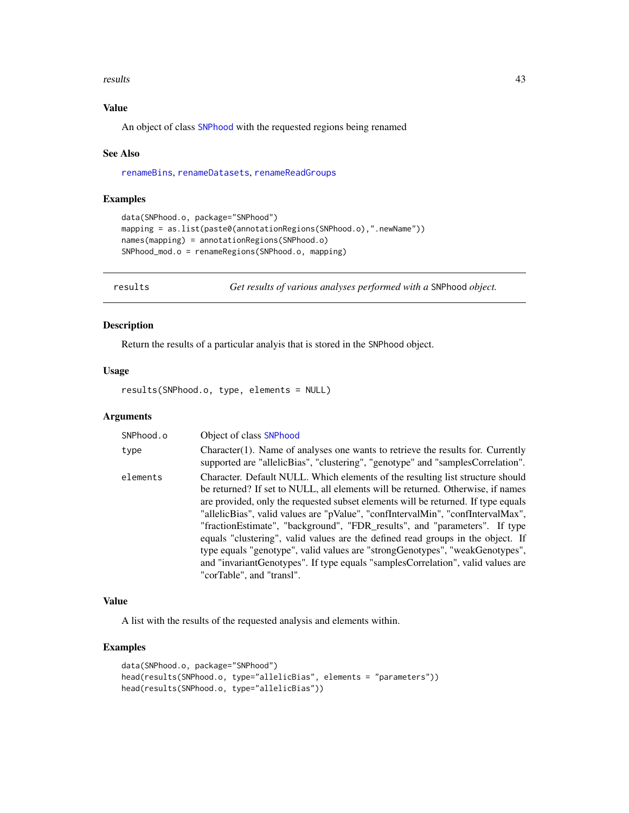#### <span id="page-42-0"></span>results 43

# Value

An object of class [SNPhood](#page-43-2) with the requested regions being renamed

#### See Also

[renameBins](#page-39-1), [renameDatasets](#page-40-2), [renameReadGroups](#page-40-1)

# Examples

```
data(SNPhood.o, package="SNPhood")
mapping = as.list(paste0(annotationRegions(SNPhood.o),".newName"))
names(mapping) = annotationRegions(SNPhood.o)
SNPhood_mod.o = renameRegions(SNPhood.o, mapping)
```
<span id="page-42-1"></span>results *Get results of various analyses performed with a* SNPhood *object.*

#### Description

Return the results of a particular analyis that is stored in the SNPhood object.

# Usage

results(SNPhood.o, type, elements = NULL)

#### Arguments

| SNPhood.o | Object of class SNPhood                                                                                                                                                                                                                                                                                                                                                                                                                                                                                                                                                                                                                                                                                        |
|-----------|----------------------------------------------------------------------------------------------------------------------------------------------------------------------------------------------------------------------------------------------------------------------------------------------------------------------------------------------------------------------------------------------------------------------------------------------------------------------------------------------------------------------------------------------------------------------------------------------------------------------------------------------------------------------------------------------------------------|
| type      | Character(1). Name of analyses one wants to retrieve the results for. Currently<br>supported are "allelicBias", "clustering", "genotype" and "samplesCorrelation".                                                                                                                                                                                                                                                                                                                                                                                                                                                                                                                                             |
| elements  | Character. Default NULL. Which elements of the resulting list structure should<br>be returned? If set to NULL, all elements will be returned. Otherwise, if names<br>are provided, only the requested subset elements will be returned. If type equals<br>"allelicBias", valid values are "pValue", "confIntervalMin", "confIntervalMax",<br>"fractionEstimate", "background", "FDR_results", and "parameters". If type<br>equals "clustering", valid values are the defined read groups in the object. If<br>type equals "genotype", valid values are "strong Genotypes", "weak Genotypes",<br>and "invariant Genotypes". If type equals "samples Correlation", valid values are<br>"corTable", and "transl". |

#### Value

A list with the results of the requested analysis and elements within.

```
data(SNPhood.o, package="SNPhood")
head(results(SNPhood.o, type="allelicBias", elements = "parameters"))
head(results(SNPhood.o, type="allelicBias"))
```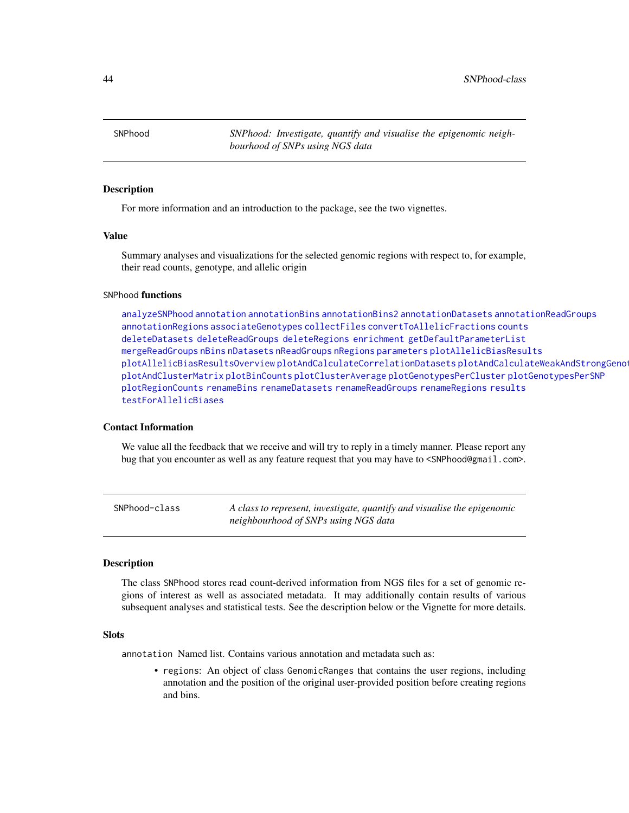<span id="page-43-0"></span>44 SNPhood-class

<span id="page-43-2"></span>SNPhood *SNPhood: Investigate, quantify and visualise the epigenomic neighbourhood of SNPs using NGS data*

#### Description

For more information and an introduction to the package, see the two vignettes.

# Value

Summary analyses and visualizations for the selected genomic regions with respect to, for example, their read counts, genotype, and allelic origin

#### SNPhood functions

[analyzeSNPhood](#page-2-1) [annotation](#page-3-1) [annotationBins](#page-4-1) [annotationBins2](#page-5-1) [annotationDatasets](#page-6-1) [annotationReadGroups](#page-6-2) [annotationRegions](#page-7-2) [associateGenotypes](#page-7-1) [collectFiles](#page-9-1) [convertToAllelicFractions](#page-10-1) [counts](#page-12-1) [deleteDatasets](#page-13-1) [deleteReadGroups](#page-14-1) [deleteRegions](#page-14-2) [enrichment](#page-15-1) [getDefaultParameterList](#page-16-1) [mergeReadGroups](#page-18-1) [nBins](#page-19-1) [nDatasets](#page-20-1) [nReadGroups](#page-20-2) [nRegions](#page-21-1) [parameters](#page-21-2) [plotAllelicBiasResults](#page-22-1) [plotAllelicBiasResultsOverview](#page-24-1) [plotAndCalculateCorrelationDatasets](#page-26-1) [plotAndCalculateWeakAndStrongGenotype](#page-27-1) [plotAndClusterMatrix](#page-28-1) [plotBinCounts](#page-30-1) [plotClusterAverage](#page-32-1) [plotGenotypesPerCluster](#page-34-1) [plotGenotypesPerSNP](#page-36-1) [plotRegionCounts](#page-37-1) [renameBins](#page-39-1) [renameDatasets](#page-40-2) [renameReadGroups](#page-40-1) [renameRegions](#page-41-1) [results](#page-42-1) [testForAllelicBiases](#page-46-1)

#### Contact Information

We value all the feedback that we receive and will try to reply in a timely manner. Please report any bug that you encounter as well as any feature request that you may have to <SNPhood@gmail.com>.

<span id="page-43-1"></span>SNPhood-class *A class to represent, investigate, quantify and visualise the epigenomic neighbourhood of SNPs using NGS data*

#### Description

The class SNPhood stores read count-derived information from NGS files for a set of genomic regions of interest as well as associated metadata. It may additionally contain results of various subsequent analyses and statistical tests. See the description below or the Vignette for more details.

#### **Slots**

annotation Named list. Contains various annotation and metadata such as:

• regions: An object of class GenomicRanges that contains the user regions, including annotation and the position of the original user-provided position before creating regions and bins.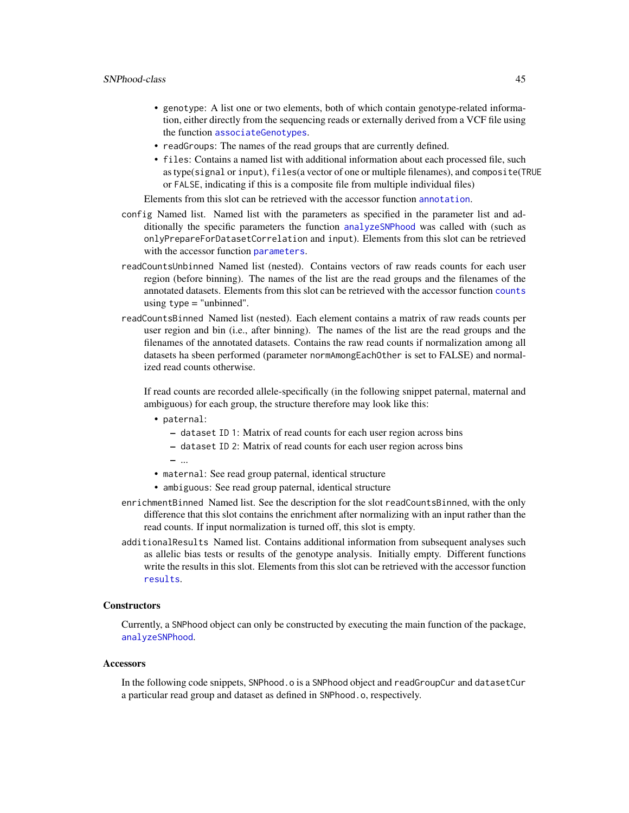# <span id="page-44-0"></span>SNPhood-class 45

- genotype: A list one or two elements, both of which contain genotype-related information, either directly from the sequencing reads or externally derived from a VCF file using the function [associateGenotypes](#page-7-1).
- readGroups: The names of the read groups that are currently defined.
- files: Contains a named list with additional information about each processed file, such as type(signal or input), files(a vector of one or multiple filenames), and composite(TRUE or FALSE, indicating if this is a composite file from multiple individual files)

Elements from this slot can be retrieved with the accessor function [annotation](#page-3-1).

- config Named list. Named list with the parameters as specified in the parameter list and additionally the specific parameters the function [analyzeSNPhood](#page-2-1) was called with (such as onlyPrepareForDatasetCorrelation and input). Elements from this slot can be retrieved with the accessor function [parameters](#page-21-2).
- readCountsUnbinned Named list (nested). Contains vectors of raw reads counts for each user region (before binning). The names of the list are the read groups and the filenames of the annotated datasets. Elements from this slot can be retrieved with the accessor function [counts](#page-12-1) using  $type = "unbinned".$
- readCountsBinned Named list (nested). Each element contains a matrix of raw reads counts per user region and bin (i.e., after binning). The names of the list are the read groups and the filenames of the annotated datasets. Contains the raw read counts if normalization among all datasets ha sbeen performed (parameter normAmongEachOther is set to FALSE) and normalized read counts otherwise.

If read counts are recorded allele-specifically (in the following snippet paternal, maternal and ambiguous) for each group, the structure therefore may look like this:

- paternal:
	- dataset ID 1: Matrix of read counts for each user region across bins
	- dataset ID 2: Matrix of read counts for each user region across bins
	- ...
- maternal: See read group paternal, identical structure
- ambiguous: See read group paternal, identical structure
- enrichmentBinned Named list. See the description for the slot readCountsBinned, with the only difference that this slot contains the enrichment after normalizing with an input rather than the read counts. If input normalization is turned off, this slot is empty.
- additionalResults Named list. Contains additional information from subsequent analyses such as allelic bias tests or results of the genotype analysis. Initially empty. Different functions write the results in this slot. Elements from this slot can be retrieved with the accessor function [results](#page-42-1).

#### **Constructors**

Currently, a SNPhood object can only be constructed by executing the main function of the package, [analyzeSNPhood](#page-2-1).

#### **Accessors**

In the following code snippets, SNPhood.o is a SNPhood object and readGroupCur and datasetCur a particular read group and dataset as defined in SNPhood.o, respectively.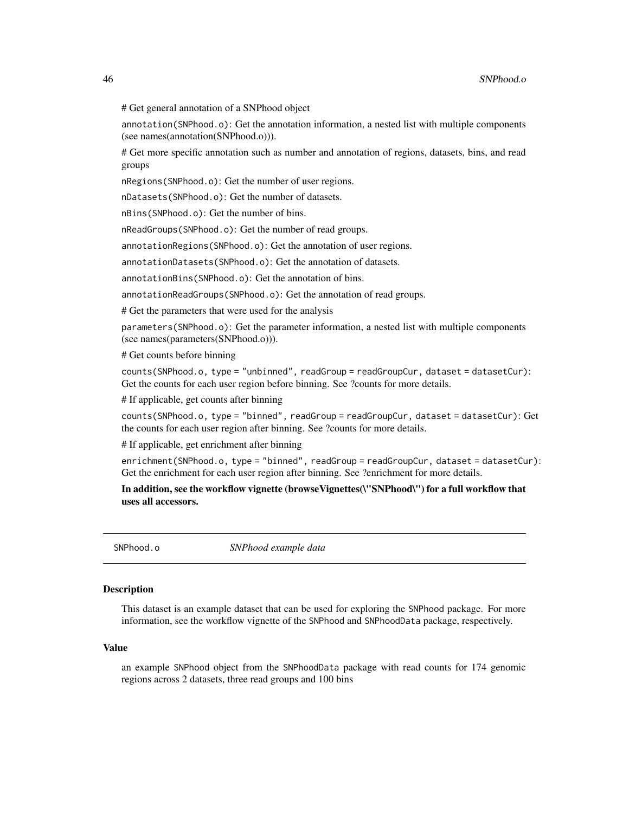<span id="page-45-0"></span># Get general annotation of a SNPhood object

annotation(SNPhood.o): Get the annotation information, a nested list with multiple components (see names(annotation(SNPhood.o))).

# Get more specific annotation such as number and annotation of regions, datasets, bins, and read groups

nRegions(SNPhood.o): Get the number of user regions.

nDatasets(SNPhood.o): Get the number of datasets.

nBins(SNPhood.o): Get the number of bins.

nReadGroups(SNPhood.o): Get the number of read groups.

annotationRegions(SNPhood.o): Get the annotation of user regions.

annotationDatasets(SNPhood.o): Get the annotation of datasets.

annotationBins(SNPhood.o): Get the annotation of bins.

annotationReadGroups(SNPhood.o): Get the annotation of read groups.

# Get the parameters that were used for the analysis

parameters(SNPhood.o): Get the parameter information, a nested list with multiple components (see names(parameters(SNPhood.o))).

# Get counts before binning

counts(SNPhood.o, type = "unbinned", readGroup = readGroupCur, dataset = datasetCur): Get the counts for each user region before binning. See ?counts for more details.

# If applicable, get counts after binning

counts(SNPhood.o, type = "binned", readGroup = readGroupCur, dataset = datasetCur): Get the counts for each user region after binning. See ?counts for more details.

# If applicable, get enrichment after binning

enrichment(SNPhood.o, type = "binned", readGroup = readGroupCur, dataset = datasetCur): Get the enrichment for each user region after binning. See ?enrichment for more details.

In addition, see the workflow vignette (browseVignettes(\"SNPhood\") for a full workflow that uses all accessors.

SNPhood.o *SNPhood example data*

#### **Description**

This dataset is an example dataset that can be used for exploring the SNPhood package. For more information, see the workflow vignette of the SNPhood and SNPhoodData package, respectively.

#### Value

an example SNPhood object from the SNPhoodData package with read counts for 174 genomic regions across 2 datasets, three read groups and 100 bins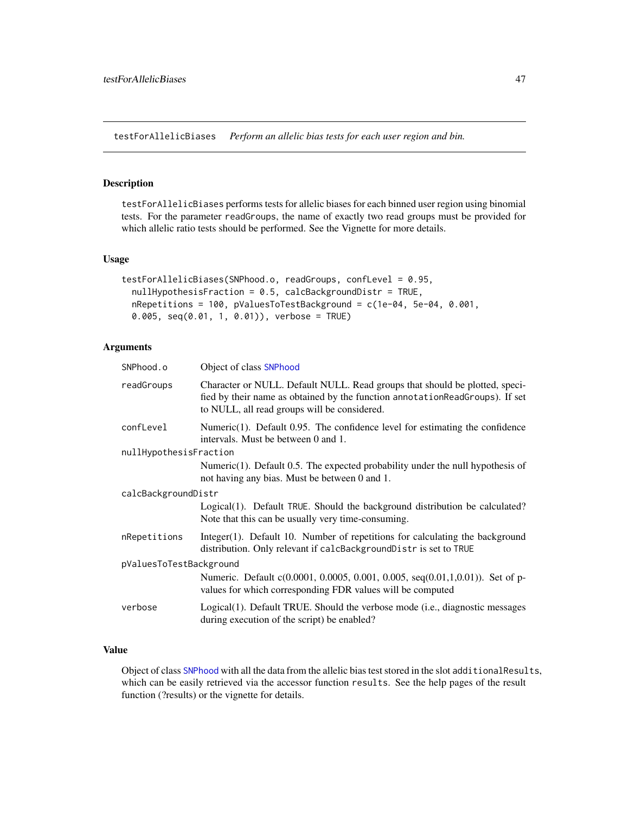<span id="page-46-1"></span><span id="page-46-0"></span>testForAllelicBiases *Perform an allelic bias tests for each user region and bin.*

#### Description

testForAllelicBiases performs tests for allelic biases for each binned user region using binomial tests. For the parameter readGroups, the name of exactly two read groups must be provided for which allelic ratio tests should be performed. See the Vignette for more details.

# Usage

```
testForAllelicBiases(SNPhood.o, readGroups, confLevel = 0.95,
  nullHypothesisFraction = 0.5, calcBackgroundDistr = TRUE,
 nRepetitions = 100, pValuesToTestBackground = c(1e-04, 5e-04, 0.001,
 0.005, seq(0.01, 1, 0.01)), verbose = TRUE)
```
# Arguments

| SNPhood.o               | Object of class SNPhood                                                                                                                                                                                     |
|-------------------------|-------------------------------------------------------------------------------------------------------------------------------------------------------------------------------------------------------------|
| readGroups              | Character or NULL. Default NULL. Read groups that should be plotted, speci-<br>fied by their name as obtained by the function annotationReadGroups). If set<br>to NULL, all read groups will be considered. |
| confLevel               | Numeric $(1)$ . Default 0.95. The confidence level for estimating the confidence<br>intervals. Must be between 0 and 1.                                                                                     |
| nullHypothesisFraction  |                                                                                                                                                                                                             |
|                         | Numeric $(1)$ . Default 0.5. The expected probability under the null hypothesis of<br>not having any bias. Must be between 0 and 1.                                                                         |
| calcBackgroundDistr     |                                                                                                                                                                                                             |
|                         | Logical(1). Default TRUE. Should the background distribution be calculated?<br>Note that this can be usually very time-consuming.                                                                           |
| nRepetitions            | Integer(1). Default 10. Number of repetitions for calculating the background<br>distribution. Only relevant if calcBackgroundDistr is set to TRUE                                                           |
| pValuesToTestBackground |                                                                                                                                                                                                             |
|                         | Numeric. Default c(0.0001, 0.0005, 0.001, 0.005, seq(0.01,1,0.01)). Set of p-<br>values for which corresponding FDR values will be computed                                                                 |
| verbose                 | Logical(1). Default TRUE. Should the verbose mode (i.e., diagnostic messages<br>during execution of the script) be enabled?                                                                                 |

# Value

Object of class [SNPhood](#page-43-1) with all the data from the allelic bias test stored in the slot additionalResults, which can be easily retrieved via the accessor function results. See the help pages of the result function (?results) or the vignette for details.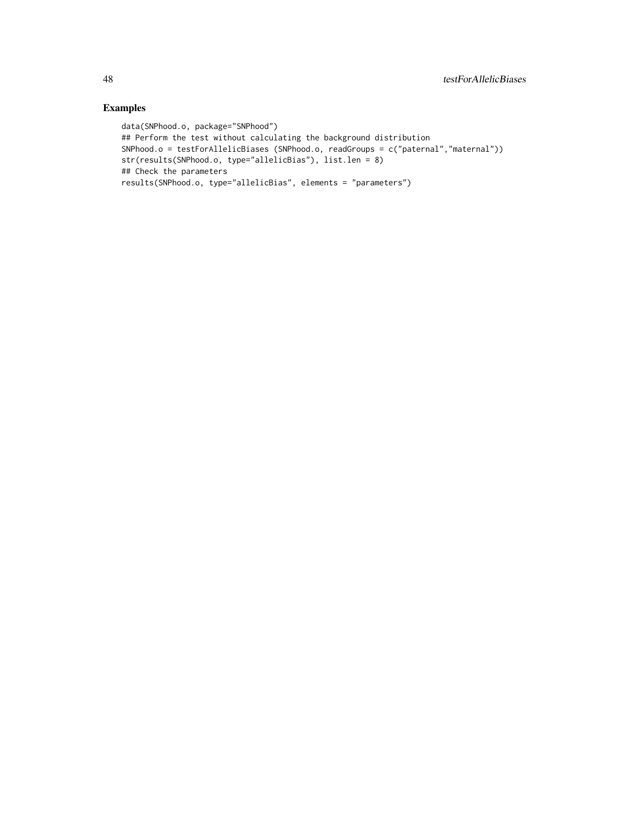```
data(SNPhood.o, package="SNPhood")
## Perform the test without calculating the background distribution
SNPhood.o = testForAllelicBiases (SNPhood.o, readGroups = c("paternal","maternal"))
str(results(SNPhood.o, type="allelicBias"), list.len = 8)
## Check the parameters
results(SNPhood.o, type="allelicBias", elements = "parameters")
```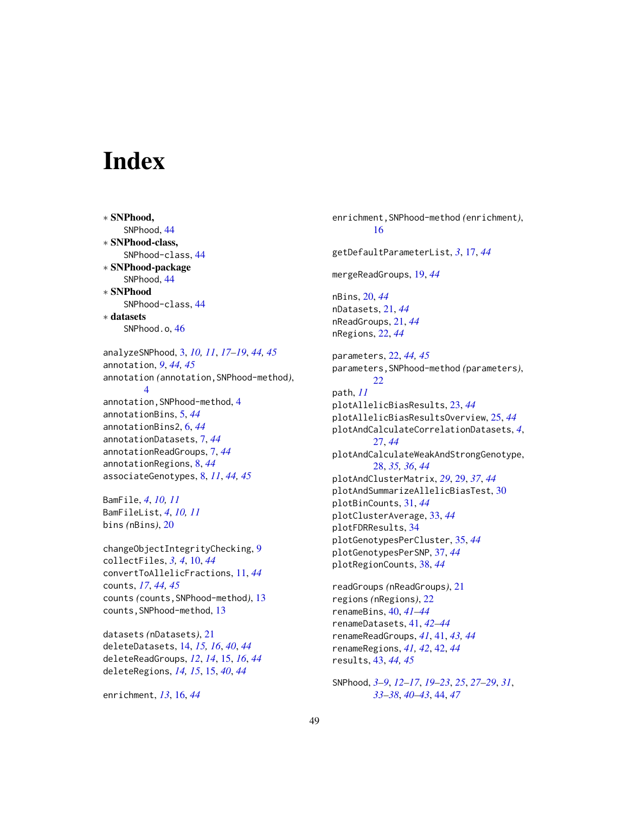# <span id="page-48-0"></span>**Index**

∗ SNPhood, SNPhood, [44](#page-43-0) ∗ SNPhood-class, SNPhood-class, [44](#page-43-0) ∗ SNPhood-package SNPhood, [44](#page-43-0) ∗ SNPhood SNPhood-class, [44](#page-43-0) ∗ datasets SNPhood.o, [46](#page-45-0) analyzeSNPhood, [3,](#page-2-0) *[10,](#page-9-0) [11](#page-10-0)*, *[17–](#page-16-0)[19](#page-18-0)*, *[44,](#page-43-0) [45](#page-44-0)*

annotation, *[9](#page-8-0)*, *[44,](#page-43-0) [45](#page-44-0)* annotation *(*annotation,SNPhood-method*)*, [4](#page-3-0) annotation, SNPhood-method, [4](#page-3-0) annotationBins, [5,](#page-4-0) *[44](#page-43-0)* annotationBins2, [6,](#page-5-0) *[44](#page-43-0)* annotationDatasets, [7,](#page-6-0) *[44](#page-43-0)* annotationReadGroups, [7,](#page-6-0) *[44](#page-43-0)* annotationRegions, [8,](#page-7-0) *[44](#page-43-0)* associateGenotypes, [8,](#page-7-0) *[11](#page-10-0)*, *[44,](#page-43-0) [45](#page-44-0)*

BamFile, *[4](#page-3-0)*, *[10,](#page-9-0) [11](#page-10-0)* BamFileList, *[4](#page-3-0)*, *[10,](#page-9-0) [11](#page-10-0)* bins *(*nBins*)*, [20](#page-19-0)

changeObjectIntegrityChecking, [9](#page-8-0) collectFiles, *[3,](#page-2-0) [4](#page-3-0)*, [10,](#page-9-0) *[44](#page-43-0)* convertToAllelicFractions, [11,](#page-10-0) *[44](#page-43-0)* counts, *[17](#page-16-0)*, *[44,](#page-43-0) [45](#page-44-0)* counts *(*counts,SNPhood-method*)*, [13](#page-12-0) counts, SNPhood-method, [13](#page-12-0)

datasets *(*nDatasets*)*, [21](#page-20-0) deleteDatasets, [14,](#page-13-0) *[15,](#page-14-0) [16](#page-15-0)*, *[40](#page-39-0)*, *[44](#page-43-0)* deleteReadGroups, *[12](#page-11-0)*, *[14](#page-13-0)*, [15,](#page-14-0) *[16](#page-15-0)*, *[44](#page-43-0)* deleteRegions, *[14,](#page-13-0) [15](#page-14-0)*, [15,](#page-14-0) *[40](#page-39-0)*, *[44](#page-43-0)*

enrichment, *[13](#page-12-0)*, [16,](#page-15-0) *[44](#page-43-0)*

enrichment,SNPhood-method *(*enrichment*)*, [16](#page-15-0) getDefaultParameterList, *[3](#page-2-0)*, [17,](#page-16-0) *[44](#page-43-0)* mergeReadGroups, [19,](#page-18-0) *[44](#page-43-0)* nBins, [20,](#page-19-0) *[44](#page-43-0)* nDatasets, [21,](#page-20-0) *[44](#page-43-0)* nReadGroups, [21,](#page-20-0) *[44](#page-43-0)* nRegions, [22,](#page-21-0) *[44](#page-43-0)* parameters, [22,](#page-21-0) *[44,](#page-43-0) [45](#page-44-0)* parameters,SNPhood-method *(*parameters*)*, [22](#page-21-0) path, *[11](#page-10-0)* plotAllelicBiasResults, [23,](#page-22-0) *[44](#page-43-0)* plotAllelicBiasResultsOverview, [25,](#page-24-0) *[44](#page-43-0)* plotAndCalculateCorrelationDatasets, *[4](#page-3-0)*, [27,](#page-26-0) *[44](#page-43-0)* plotAndCalculateWeakAndStrongGenotype, [28,](#page-27-0) *[35,](#page-34-0) [36](#page-35-0)*, *[44](#page-43-0)* plotAndClusterMatrix, *[29](#page-28-0)*, [29,](#page-28-0) *[37](#page-36-0)*, *[44](#page-43-0)* plotAndSummarizeAllelicBiasTest, [30](#page-29-0) plotBinCounts, [31,](#page-30-0) *[44](#page-43-0)* plotClusterAverage, [33,](#page-32-0) *[44](#page-43-0)* plotFDRResults, [34](#page-33-0) plotGenotypesPerCluster, [35,](#page-34-0) *[44](#page-43-0)* plotGenotypesPerSNP, [37,](#page-36-0) *[44](#page-43-0)* plotRegionCounts, [38,](#page-37-0) *[44](#page-43-0)*

readGroups *(*nReadGroups*)*, [21](#page-20-0) regions *(*nRegions*)*, [22](#page-21-0) renameBins, [40,](#page-39-0) *[41](#page-40-0)[–44](#page-43-0)* renameDatasets, [41,](#page-40-0) *[42](#page-41-0)[–44](#page-43-0)* renameReadGroups, *[41](#page-40-0)*, [41,](#page-40-0) *[43,](#page-42-0) [44](#page-43-0)* renameRegions, *[41,](#page-40-0) [42](#page-41-0)*, [42,](#page-41-0) *[44](#page-43-0)* results, [43,](#page-42-0) *[44,](#page-43-0) [45](#page-44-0)*

SNPhood, *[3](#page-2-0)[–9](#page-8-0)*, *[12](#page-11-0)[–17](#page-16-0)*, *[19](#page-18-0)[–23](#page-22-0)*, *[25](#page-24-0)*, *[27](#page-26-0)[–29](#page-28-0)*, *[31](#page-30-0)*, *[33](#page-32-0)[–38](#page-37-0)*, *[40](#page-39-0)[–43](#page-42-0)*, [44,](#page-43-0) *[47](#page-46-0)*